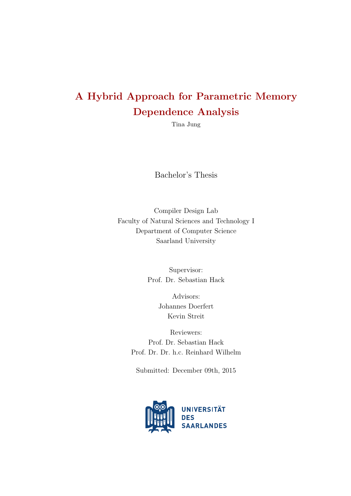## A Hybrid Approach for Parametric Memory Dependence Analysis

[Tina Jung](mailto:s9tajung@stud.uni-saarland.de)

Bachelor's Thesis

[Compiler Design Lab](http://www.cdl.uni-saarland.de/) [Faculty of Natural Sciences and Technology I](http://www.uni-saarland.de/en/campus/faculties/faculties/faculty-6-natural-sciences-and-technology-i.html) [Department of Computer Science](http://www.cs.uni-saarland.de/) [Saarland University](http://www.uni-saarland.de/)

> Supervisor: Prof. Dr. Sebastian Hack

> > Advisors: Johannes Doerfert Kevin Streit

Reviewers: Prof. Dr. Sebastian Hack Prof. Dr. Dr. h.c. Reinhard Wilhelm

Submitted: December 09th, 2015

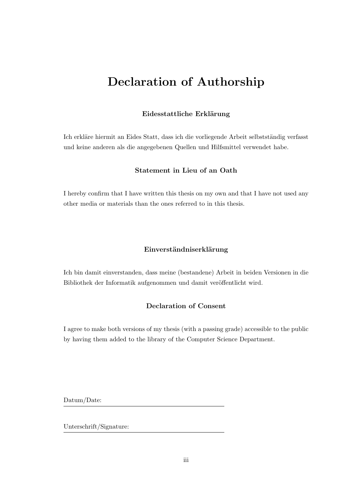## <span id="page-2-0"></span>Declaration of Authorship

#### Eidesstattliche Erklärung

Ich erkläre hiermit an Eides Statt, dass ich die vorliegende Arbeit selbstständig verfasst und keine anderen als die angegebenen Quellen und Hilfsmittel verwendet habe.

#### Statement in Lieu of an Oath

I hereby confirm that I have written this thesis on my own and that I have not used any other media or materials than the ones referred to in this thesis.

#### Einverständniserklärung

Ich bin damit einverstanden, dass meine (bestandene) Arbeit in beiden Versionen in die Bibliothek der Informatik aufgenommen und damit veröffentlicht wird.

### Declaration of Consent

I agree to make both versions of my thesis (with a passing grade) accessible to the public by having them added to the library of the Computer Science Department.

Datum/Date:

Unterschrift/Signature: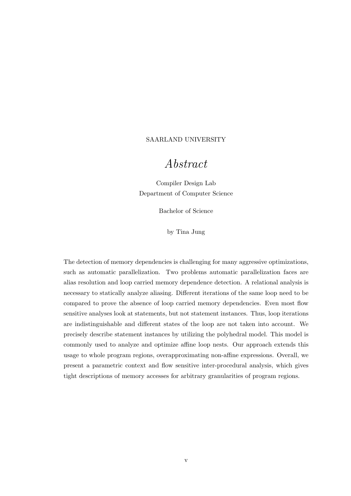#### <span id="page-4-0"></span>[SAARLAND UNIVERSITY](http://www.uni-saarland.de/)

## Abstract

[Compiler Design Lab](http://www.cdl.uni-saarland.de/) [Department of Computer Science](http://www.cs.uni-saarland.de/)

Bachelor of Science

by [Tina Jung](mailto:s9tajung@stud.uni-saarland.de)

The detection of memory dependencies is challenging for many aggressive optimizations, such as automatic parallelization. Two problems automatic parallelization faces are alias resolution and loop carried memory dependence detection. A relational analysis is necessary to statically analyze aliasing. Different iterations of the same loop need to be compared to prove the absence of loop carried memory dependencies. Even most flow sensitive analyses look at statements, but not statement instances. Thus, loop iterations are indistinguishable and different states of the loop are not taken into account. We precisely describe statement instances by utilizing the polyhedral model. This model is commonly used to analyze and optimize affine loop nests. Our approach extends this usage to whole program regions, overapproximating non-affine expressions. Overall, we present a parametric context and flow sensitive inter-procedural analysis, which gives tight descriptions of memory accesses for arbitrary granularities of program regions.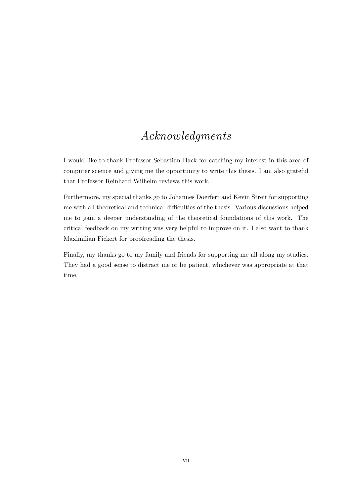## Acknowledgments

<span id="page-6-0"></span>I would like to thank Professor Sebastian Hack for catching my interest in this area of computer science and giving me the opportunity to write this thesis. I am also grateful that Professor Reinhard Wilhelm reviews this work.

Furthermore, my special thanks go to Johannes Doerfert and Kevin Streit for supporting me with all theoretical and technical difficulties of the thesis. Various discussions helped me to gain a deeper understanding of the theoretical foundations of this work. The critical feedback on my writing was very helpful to improve on it. I also want to thank Maximilian Fickert for proofreading the thesis.

Finally, my thanks go to my family and friends for supporting me all along my studies. They had a good sense to distract me or be patient, whichever was appropriate at that time.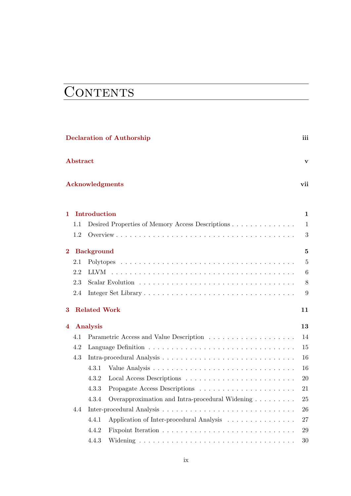# **CONTENTS**

|          | <b>Declaration of Authorship</b>                      | iii             |
|----------|-------------------------------------------------------|-----------------|
| Abstract |                                                       | v               |
|          | <b>Acknowledgments</b>                                | vii             |
| 1        | Introduction                                          | $\mathbf{1}$    |
| 1.1      | Desired Properties of Memory Access Descriptions      | $\mathbf{1}$    |
| 1.2      |                                                       | 3               |
| $\bf{2}$ | <b>Background</b>                                     | 5               |
| 2.1      |                                                       | $\overline{5}$  |
| 2.2      |                                                       | $6\phantom{.}6$ |
| 2.3      |                                                       | $8\,$           |
| 2.4      |                                                       | 9               |
| 3        | <b>Related Work</b>                                   | 11              |
| 4        | Analysis                                              | 13              |
| 4.1      |                                                       | 14              |
| 4.2      |                                                       | 15              |
| 4.3      |                                                       | 16              |
|          | 4.3.1                                                 | 16              |
|          | 4.3.2                                                 | 20              |
|          | 4.3.3                                                 | 21              |
|          | 4.3.4 Overapproximation and Intra-procedural Widening | $25\,$          |
| 4.4      |                                                       | 26              |
|          | 4.4.1<br>Application of Inter-procedural Analysis     | 27              |
|          | 4.4.2                                                 | $\,29$          |
|          | 4.4.3                                                 | 30              |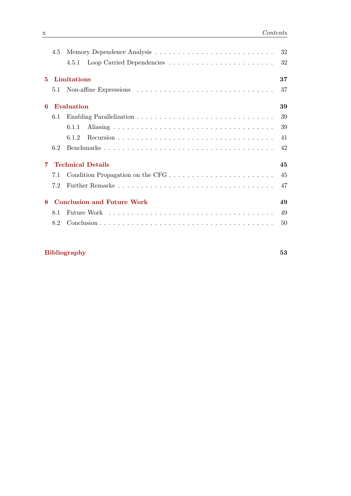|             | 4.5 |                                   | 32 |
|-------------|-----|-----------------------------------|----|
|             |     | 4.5.1                             | 32 |
| $5^{\circ}$ |     | Limitations                       | 37 |
|             |     |                                   | 37 |
| 6           |     | <b>Evaluation</b>                 | 39 |
|             | 6.1 |                                   | 39 |
|             |     | 6.1.1                             | 39 |
|             |     | 6.1.2                             | 41 |
|             | 6.2 |                                   | 42 |
| 7.          |     | <b>Technical Details</b>          | 45 |
|             | 7.1 |                                   |    |
|             | 7.2 |                                   | 47 |
| 8           |     | <b>Conclusion and Future Work</b> | 49 |
|             | 8.1 |                                   | 49 |
|             | 8.2 |                                   | 50 |

## [Bibliography](#page-62-0) 53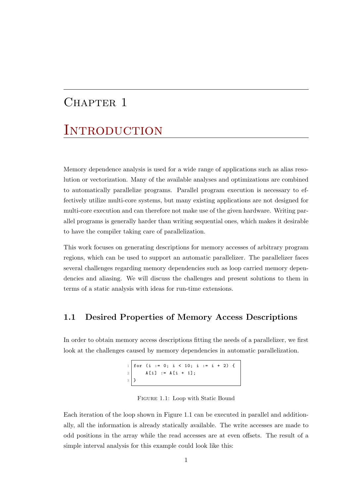## <span id="page-10-0"></span>CHAPTER 1

## **INTRODUCTION**

Memory dependence analysis is used for a wide range of applications such as alias resolution or vectorization. Many of the available analyses and optimizations are combined to automatically parallelize programs. Parallel program execution is necessary to effectively utilize multi-core systems, but many existing applications are not designed for multi-core execution and can therefore not make use of the given hardware. Writing parallel programs is generally harder than writing sequential ones, which makes it desirable to have the compiler taking care of parallelization.

This work focuses on generating descriptions for memory accesses of arbitrary program regions, which can be used to support an automatic parallelizer. The parallelizer faces several challenges regarding memory dependencies such as loop carried memory dependencies and aliasing. We will discuss the challenges and present solutions to them in terms of a static analysis with ideas for run-time extensions.

## <span id="page-10-1"></span>1.1 Desired Properties of Memory Access Descriptions

<span id="page-10-2"></span>In order to obtain memory access descriptions fitting the needs of a parallelizer, we first look at the challenges caused by memory dependencies in automatic parallelization.

> $1 \vert$  for (i := 0; i < 10; i := i + 2) { 2 | A[i] := A[i + 1]; 3 }

Figure 1.1: Loop with Static Bound

Each iteration of the loop shown in Figure [1.1](#page-10-2) can be executed in parallel and additionally, all the information is already statically available. The write accesses are made to odd positions in the array while the read accesses are at even offsets. The result of a simple interval analysis for this example could look like this: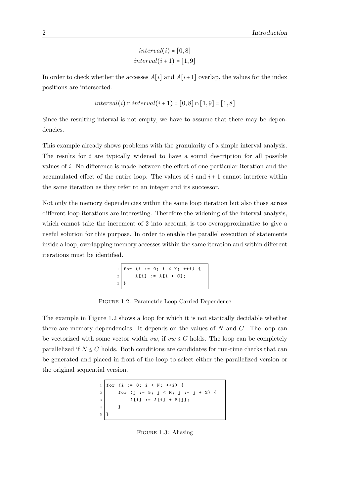$interval(i) = [0, 8]$  $interval(i + 1) = [1, 9]$ 

In order to check whether the accesses  $A[i]$  and  $A[i+1]$  overlap, the values for the index positions are intersected.

$$
interval(i) \cap interval(i+1) = [0,8] \cap [1,9] = [1,8]
$$

Since the resulting interval is not empty, we have to assume that there may be dependencies.

This example already shows problems with the granularity of a simple interval analysis. The results for  $i$  are typically widened to have a sound description for all possible values of i. No difference is made between the effect of one particular iteration and the accumulated effect of the entire loop. The values of i and  $i + 1$  cannot interfere within the same iteration as they refer to an integer and its successor.

Not only the memory dependencies within the same loop iteration but also those across different loop iterations are interesting. Therefore the widening of the interval analysis, which cannot take the increment of 2 into account, is too overapproximative to give a useful solution for this purpose. In order to enable the parallel execution of statements inside a loop, overlapping memory accesses within the same iteration and within different iterations must be identified.

```
1 \mid for \text{ } (i := 0; i < N; ++i) \text{ } \{2 | A[i] := A[i + C];\begin{array}{c} 2 \\ 3 \end{array}
```
Figure 1.2: Parametric Loop Carried Dependence

<span id="page-11-0"></span>The example in Figure [1.2](#page-11-0) shows a loop for which it is not statically decidable whether there are memory dependencies. It depends on the values of  $N$  and  $C$ . The loop can be vectorized with some vector width  $vw$ , if  $vw \leq C$  holds. The loop can be completely parallelized if  $N \leq C$  holds. Both conditions are candidates for run-time checks that can be generated and placed in front of the loop to select either the parallelized version or the original sequential version.

<span id="page-11-1"></span>
$$
\begin{array}{c|cccc}\n1 & \text{for} & (i := 0; i < N; ++i) < \\
2 & \text{for} & (j := 5; j < M; j := j + 2) < \\
3 & \text{A[i]} &:= A[i] + B[j]; \\
4 & & & & \\
5 & & & & \\
\end{array}
$$

Figure 1.3: Aliasing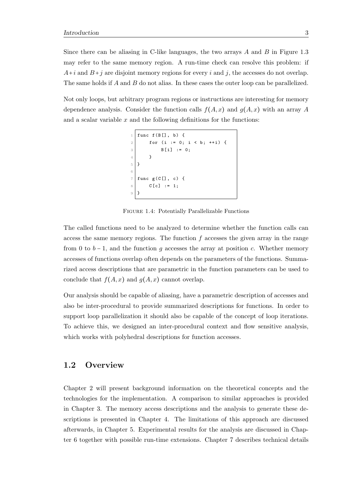Since there can be aliasing in C-like languages, the two arrays  $A$  and  $B$  in Figure [1.3](#page-11-1) may refer to the same memory region. A run-time check can resolve this problem: if  $A+i$  and  $B+j$  are disjoint memory regions for every i and j, the accesses do not overlap. The same holds if A and B do not alias. In these cases the outer loop can be parallelized.

Not only loops, but arbitrary program regions or instructions are interesting for memory dependence analysis. Consider the function calls  $f(A, x)$  and  $g(A, x)$  with an array A and a scalar variable  $x$  and the following definitions for the functions:

```
func f(B[], b) {
2 for (i := 0; i < b; ++i) {
3 B[i] := 0;
4 }
5 }
6
7 \mid func g(C[], c) {
8 C[c] := 1;
9 }
```
Figure 1.4: Potentially Parallelizable Functions

The called functions need to be analyzed to determine whether the function calls can access the same memory regions. The function  $f$  accesses the given array in the range from 0 to  $b-1$ , and the function g accesses the array at position c. Whether memory accesses of functions overlap often depends on the parameters of the functions. Summarized access descriptions that are parametric in the function parameters can be used to conclude that  $f(A, x)$  and  $g(A, x)$  cannot overlap.

Our analysis should be capable of aliasing, have a parametric description of accesses and also be inter-procedural to provide summarized descriptions for functions. In order to support loop parallelization it should also be capable of the concept of loop iterations. To achieve this, we designed an inter-procedural context and flow sensitive analysis, which works with polyhedral descriptions for function accesses.

### <span id="page-12-0"></span>1.2 Overview

Chapter [2](#page-14-0) will present background information on the theoretical concepts and the technologies for the implementation. A comparison to similar approaches is provided in Chapter [3.](#page-20-0) The memory access descriptions and the analysis to generate these descriptions is presented in Chapter [4.](#page-22-0) The limitations of this approach are discussed afterwards, in Chapter [5.](#page-46-0) Experimental results for the analysis are discussed in Chapter [6](#page-48-0) together with possible run-time extensions. Chapter [7](#page-54-0) describes technical details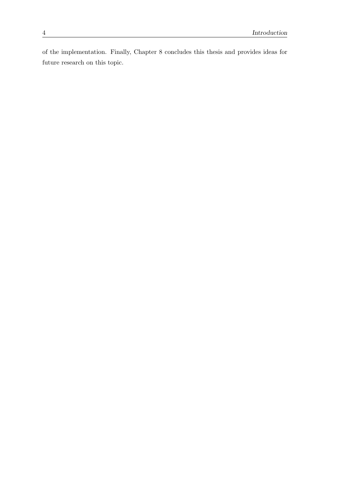of the implementation. Finally, Chapter [8](#page-58-0) concludes this thesis and provides ideas for future research on this topic.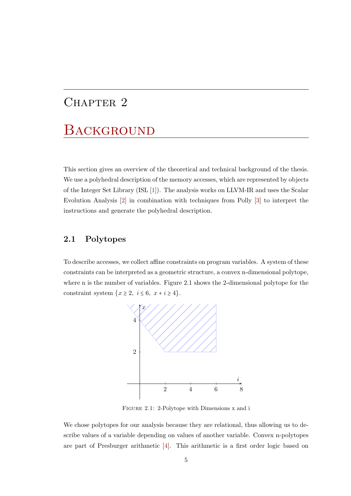## <span id="page-14-0"></span>CHAPTER 2

## **BACKGROUND**

This section gives an overview of the theoretical and technical background of the thesis. We use a polyhedral description of the memory accesses, which are represented by objects of the Integer Set Library (ISL [\[1\]](#page-62-1)). The analysis works on LLVM-IR and uses the Scalar Evolution Analysis [\[2\]](#page-62-2) in combination with techniques from Polly [\[3\]](#page-62-3) to interpret the instructions and generate the polyhedral description.

## <span id="page-14-1"></span>2.1 Polytopes

<span id="page-14-2"></span>To describe accesses, we collect affine constraints on program variables. A system of these constraints can be interpreted as a geometric structure, a convex n-dimensional polytope, where n is the number of variables. Figure [2.1](#page-14-2) shows the 2-dimensional polytope for the constraint system  $\{x \geq 2, i \leq 6, x + i \geq 4\}.$ 



Figure 2.1: 2-Polytope with Dimensions x and i

We chose polytopes for our analysis because they are relational, thus allowing us to describe values of a variable depending on values of another variable. Convex n-polytopes are part of Presburger arithmetic [\[4\]](#page-62-4). This arithmetic is a first order logic based on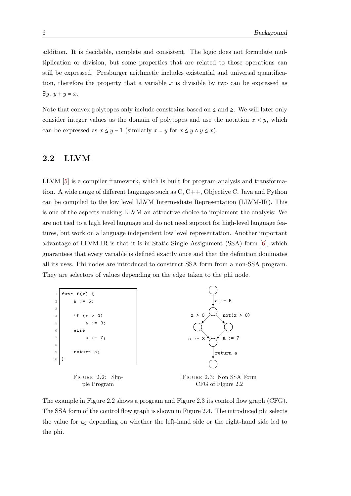addition. It is decidable, complete and consistent. The logic does not formulate multiplication or division, but some properties that are related to those operations can still be expressed. Presburger arithmetic includes existential and universal quantification, therefore the property that a variable x is divisible by two can be expressed as  $\exists y. y + y = x.$ 

Note that convex polytopes only include constrains based on  $\leq$  and  $\geq$ . We will later only consider integer values as the domain of polytopes and use the notation  $x \leq y$ , which can be expressed as  $x \leq y - 1$  (similarly  $x = y$  for  $x \leq y \wedge y \leq x$ ).

### <span id="page-15-0"></span>2.2 LLVM

LLVM [\[5\]](#page-62-5) is a compiler framework, which is built for program analysis and transformation. A wide range of different languages such as C, C++, Objective C, Java and Python can be compiled to the low level LLVM Intermediate Representation (LLVM-IR). This is one of the aspects making LLVM an attractive choice to implement the analysis: We are not tied to a high level language and do not need support for high-level language features, but work on a language independent low level representation. Another important advantage of LLVM-IR is that it is in Static Single Assignment (SSA) form [\[6\]](#page-62-6), which guarantees that every variable is defined exactly once and that the definition dominates all its uses. Phi nodes are introduced to construct SSA form from a non-SSA program. They are selectors of values depending on the edge taken to the phi node.

<span id="page-15-1"></span>

The example in Figure [2.2](#page-15-1) shows a program and Figure [2.3](#page-15-1) its control flow graph (CFG). The SSA form of the control flow graph is shown in Figure [2.4.](#page-16-0) The introduced phi selects the value for a<sup>3</sup> depending on whether the left-hand side or the right-hand side led to the phi.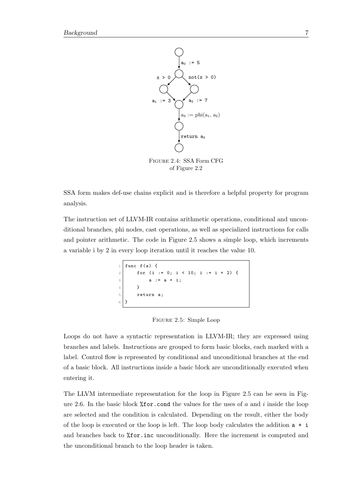<span id="page-16-0"></span>

Figure 2.4: SSA Form CFG of Figure [2.2](#page-15-1)

SSA form makes def-use chains explicit and is therefore a helpful property for program analysis.

<span id="page-16-1"></span>The instruction set of LLVM-IR contains arithmetic operations, conditional and unconditional branches, phi nodes, cast operations, as well as specialized instructions for calls and pointer arithmetic. The code in Figure [2.5](#page-16-1) shows a simple loop, which increments a variable i by 2 in every loop iteration until it reaches the value 10.

```
func f(a) {
2 for (i := 0; i < 10; i := i + 2) {
\begin{array}{ccc} \text{3} & \text{a} & \text{5} & \text{c} \\ \end{array}4 }
5 return a;
6 }
```
Figure 2.5: Simple Loop

Loops do not have a syntactic representation in LLVM-IR; they are expressed using branches and labels. Instructions are grouped to form basic blocks, each marked with a label. Control flow is represented by conditional and unconditional branches at the end of a basic block. All instructions inside a basic block are unconditionally executed when entering it.

The LLVM intermediate representation for the loop in Figure [2.5](#page-16-1) can be seen in Fig-ure [2.6.](#page-17-1) In the basic block  $%$  for.cond the values for the uses of a and i inside the loop are selected and the condition is calculated. Depending on the result, either the body of the loop is executed or the loop is left. The loop body calculates the addition  $a + i$ and branches back to %for.inc unconditionally. Here the increment is computed and the unconditional branch to the loop header is taken.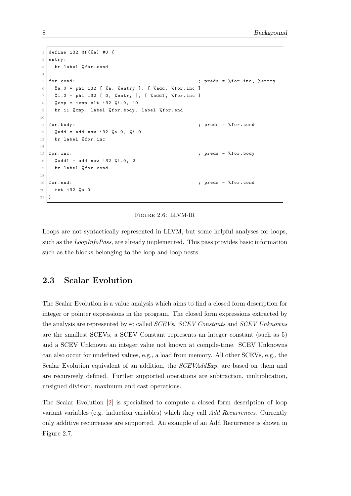```
1 define i32 @f (% a) #0 {
2 entry :
3 br label %for.cond
4
5 for . cond: \begin{array}{ccc} 5 & \text{if } 60 \end{array} ; preds = % for . inc, % entry
6 %a.0 = phi i32 [ %a, % entry ], [ % add, % for. inc ]
7 %i.0 = phi i32 [ 0, % entry ], [ % add1, % for.inc ]
8 % cmp = icmp slt i32 % i.0, 10
9 br i1 % cmp, label % for . body, label % for . end
10
11 for body: \qquad \qquad ; preds = % for . cond
12 % add = add nsw i32 % a.0, % i.0
13 br label % for. inc
14
15 for . inc : \begin{array}{ccc} 15 & \text{for } . \text{ inc} \end{array} ; preds = \% for . body
16 % add1 = add nsw i32 % i.0, 2
17 br label %for.cond
18
19 for end: \begin{array}{ccc} 19 & \text{for each } x \end{array} ; preds = % for .cond
20 ret i32 %a .0
21 \, | \}
```
Figure 2.6: LLVM-IR

Loops are not syntactically represented in LLVM, but some helpful analyses for loops, such as the *LoopInfoPass*, are already implemented. This pass provides basic information such as the blocks belonging to the loop and loop nests.

### <span id="page-17-0"></span>2.3 Scalar Evolution

The Scalar Evolution is a value analysis which aims to find a closed form description for integer or pointer expressions in the program. The closed form expressions extracted by the analysis are represented by so called SCEVs. SCEV Constants and SCEV Unknowns are the smallest SCEVs, a SCEV Constant represents an integer constant (such as 5) and a SCEV Unknown an integer value not known at compile-time. SCEV Unknowns can also occur for undefined values, e.g., a load from memory. All other SCEVs, e.g., the Scalar Evolution equivalent of an addition, the SCEVAddExp, are based on them and are recursively defined. Further supported operations are subtraction, multiplication, unsigned division, maximum and cast operations.

The Scalar Evolution [\[2\]](#page-62-2) is specialized to compute a closed form description of loop variant variables (e.g. induction variables) which they call Add Recurrences. Currently only additive recurrences are supported. An example of an Add Recurrence is shown in Figure [2.7.](#page-18-1)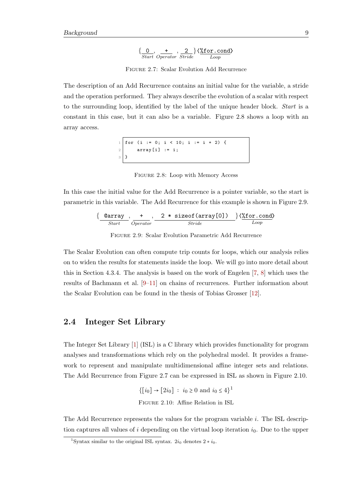$$
\{\underbrace{0}_{Start}, \underbrace{+}_{Operator}, \underbrace{2}_{Stride}\}\langle \underbrace{\text{\%for.com}}_{Loop}\rangle
$$

Figure 2.7: Scalar Evolution Add Recurrence

<span id="page-18-2"></span><span id="page-18-1"></span>The description of an Add Recurrence contains an initial value for the variable, a stride and the operation performed. They always describe the evolution of a scalar with respect to the surrounding loop, identified by the label of the unique header block. Start is a constant in this case, but it can also be a variable. Figure [2.8](#page-18-2) shows a loop with an array access.

$$
\begin{array}{c}\n1 \\
2 \\
3 \\
1\n\end{array}
$$
\nfor (i := 0; i < 10; i := i + 2) {\n {array [i] := i;\n }

Figure 2.8: Loop with Memory Access

<span id="page-18-3"></span>In this case the initial value for the Add Recurrence is a pointer variable, so the start is parametric in this variable. The Add Recurrence for this example is shown in Figure [2.9.](#page-18-3)

$$
\{\underbrace{\texttt{0array}}_{Start}, \underbrace{+}_{Operator}, \underbrace{2 * \text{ sizeof}(\text{array[0]}) \quad }_{Stride} \} \langle \texttt{\%for.cond} \rangle
$$

Figure 2.9: Scalar Evolution Parametric Add Recurrence

The Scalar Evolution can often compute trip counts for loops, which our analysis relies on to widen the results for statements inside the loop. We will go into more detail about this in Section [4.3.4.](#page-34-0) The analysis is based on the work of Engelen [\[7,](#page-62-7) [8\]](#page-62-8) which uses the results of Bachmann et al. [\[9–](#page-63-0)[11\]](#page-63-1) on chains of recurrences. Further information about the Scalar Evolution can be found in the thesis of Tobias Grosser [\[12\]](#page-63-2).

### <span id="page-18-0"></span>2.4 Integer Set Library

The Integer Set Library [\[1\]](#page-62-1) (ISL) is a C library which provides functionality for program analyses and transformations which rely on the polyhedral model. It provides a framework to represent and manipulate multidimensional affine integer sets and relations. The Add Recurrence from Figure [2.7](#page-18-1) can be expressed in ISL as shown in Figure [2.10.](#page-18-4)

> $\{[i_0] \to [2i_0] : i_0 \ge 0 \text{ and } i_0 \le 4\}^1$  $\{[i_0] \to [2i_0] : i_0 \ge 0 \text{ and } i_0 \le 4\}^1$ Figure 2.10: Affine Relation in ISL

<span id="page-18-4"></span>The Add Recurrence represents the values for the program variable i. The ISL description captures all values of i depending on the virtual loop iteration  $i_0$ . Due to the upper

<span id="page-18-5"></span><sup>&</sup>lt;sup>1</sup>Syntax similar to the original ISL syntax.  $2i_0$  denotes  $2 * i_0$ .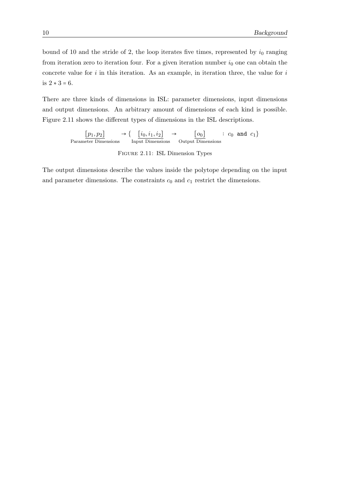bound of 10 and the stride of 2, the loop iterates five times, represented by  $i_0$  ranging from iteration zero to iteration four. For a given iteration number  $i_0$  one can obtain the concrete value for  $i$  in this iteration. As an example, in iteration three, the value for  $i$ is 2 ∗ 3 = 6.

There are three kinds of dimensions in ISL: parameter dimensions, input dimensions and output dimensions. An arbitrary amount of dimensions of each kind is possible. Figure [2.11](#page-19-0) shows the different types of dimensions in the ISL descriptions.

> <span id="page-19-0"></span> $[p_1, p_2]$ Parameter Dimensions  $\rightarrow \{ \quad [i_0, i_1, i_2]$ Input Dimensions  $\rightarrow$  [o<sub>0</sub>] Output Dimensions :  $c_0$  and  $c_1$ }

> > Figure 2.11: ISL Dimension Types

The output dimensions describe the values inside the polytope depending on the input and parameter dimensions. The constraints  $c_0$  and  $c_1$  restrict the dimensions.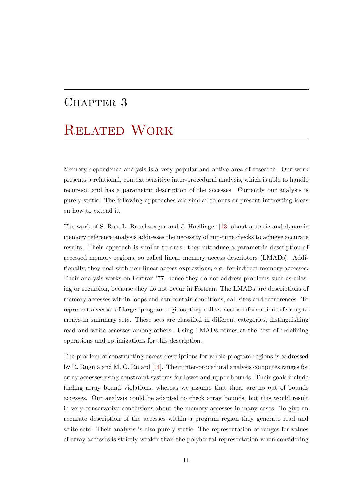## <span id="page-20-0"></span>CHAPTER 3

# Related Work

Memory dependence analysis is a very popular and active area of research. Our work presents a relational, context sensitive inter-procedural analysis, which is able to handle recursion and has a parametric description of the accesses. Currently our analysis is purely static. The following approaches are similar to ours or present interesting ideas on how to extend it.

The work of S. Rus, L. Rauchwerger and J. Hoeflinger [\[13\]](#page-63-3) about a static and dynamic memory reference analysis addresses the necessity of run-time checks to achieve accurate results. Their approach is similar to ours: they introduce a parametric description of accessed memory regions, so called linear memory access descriptors (LMADs). Additionally, they deal with non-linear access expressions, e.g. for indirect memory accesses. Their analysis works on Fortran '77, hence they do not address problems such as aliasing or recursion, because they do not occur in Fortran. The LMADs are descriptions of memory accesses within loops and can contain conditions, call sites and recurrences. To represent accesses of larger program regions, they collect access information referring to arrays in summary sets. These sets are classified in different categories, distinguishing read and write accesses among others. Using LMADs comes at the cost of redefining operations and optimizations for this description.

The problem of constructing access descriptions for whole program regions is addressed by R. Rugina and M. C. Rinard [\[14\]](#page-63-4). Their inter-procedural analysis computes ranges for array accesses using constraint systems for lower and upper bounds. Their goals include finding array bound violations, whereas we assume that there are no out of bounds accesses. Our analysis could be adapted to check array bounds, but this would result in very conservative conclusions about the memory accesses in many cases. To give an accurate description of the accesses within a program region they generate read and write sets. Their analysis is also purely static. The representation of ranges for values of array accesses is strictly weaker than the polyhedral representation when considering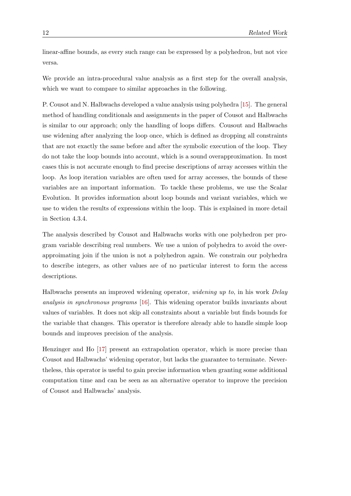linear-affine bounds, as every such range can be expressed by a polyhedron, but not vice versa.

We provide an intra-procedural value analysis as a first step for the overall analysis, which we want to compare to similar approaches in the following.

P. Cousot and N. Halbwachs developed a value analysis using polyhedra [\[15\]](#page-63-5). The general method of handling conditionals and assignments in the paper of Cousot and Halbwachs is similar to our approach; only the handling of loops differs. Cousout and Halbwachs use widening after analyzing the loop once, which is defined as dropping all constraints that are not exactly the same before and after the symbolic execution of the loop. They do not take the loop bounds into account, which is a sound overapproximation. In most cases this is not accurate enough to find precise descriptions of array accesses within the loop. As loop iteration variables are often used for array accesses, the bounds of these variables are an important information. To tackle these problems, we use the Scalar Evolution. It provides information about loop bounds and variant variables, which we use to widen the results of expressions within the loop. This is explained in more detail in Section [4.3.4.](#page-34-0)

The analysis described by Cousot and Halbwachs works with one polyhedron per program variable describing real numbers. We use a union of polyhedra to avoid the overapproimating join if the union is not a polyhedron again. We constrain our polyhedra to describe integers, as other values are of no particular interest to form the access descriptions.

Halbwachs presents an improved widening operator, widening up to, in his work Delay analysis in synchronous programs [\[16\]](#page-63-6). This widening operator builds invariants about values of variables. It does not skip all constraints about a variable but finds bounds for the variable that changes. This operator is therefore already able to handle simple loop bounds and improves precision of the analysis.

Henzinger and Ho [\[17\]](#page-63-7) present an extrapolation operator, which is more precise than Cousot and Halbwachs' widening operator, but lacks the guarantee to terminate. Nevertheless, this operator is useful to gain precise information when granting some additional computation time and can be seen as an alternative operator to improve the precision of Cousot and Halbwachs' analysis.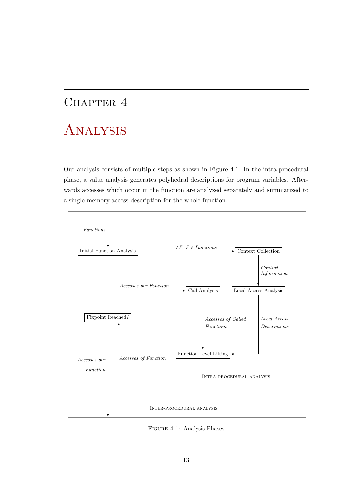## <span id="page-22-0"></span>CHAPTER 4

# Analysis

Our analysis consists of multiple steps as shown in Figure [4.1.](#page-22-1) In the intra-procedural phase, a value analysis generates polyhedral descriptions for program variables. Afterwards accesses which occur in the function are analyzed separately and summarized to a single memory access description for the whole function.

<span id="page-22-1"></span>

Figure 4.1: Analysis Phases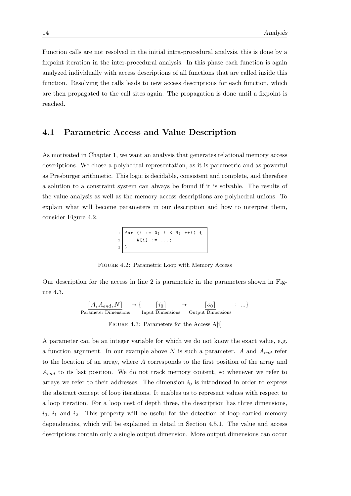Function calls are not resolved in the initial intra-procedural analysis, this is done by a fixpoint iteration in the inter-procedural analysis. In this phase each function is again analyzed individually with access descriptions of all functions that are called inside this function. Resolving the calls leads to new access descriptions for each function, which are then propagated to the call sites again. The propagation is done until a fixpoint is reached.

### <span id="page-23-0"></span>4.1 Parametric Access and Value Description

As motivated in Chapter [1,](#page-10-0) we want an analysis that generates relational memory access descriptions. We chose a polyhedral representation, as it is parametric and as powerful as Presburger arithmetic. This logic is decidable, consistent and complete, and therefore a solution to a constraint system can always be found if it is solvable. The results of the value analysis as well as the memory access descriptions are polyhedral unions. To explain what will become parameters in our description and how to interpret them, consider Figure [4.2.](#page-23-1)

|             |             |  |  | 1 for (i := 0; i < N; ++i) { |  |
|-------------|-------------|--|--|------------------------------|--|
| $2^{\circ}$ | $A[i]$ := ; |  |  |                              |  |
| $3\,$       |             |  |  |                              |  |

Figure 4.2: Parametric Loop with Memory Access

<span id="page-23-2"></span><span id="page-23-1"></span>Our description for the access in line 2 is parametric in the parameters shown in Figure [4.3.](#page-23-2)

> $[A, A_{end}, N]$ Parameter Dimensions  $\rightarrow \begin{cases} \qquad [i_0] \end{cases}$ Input Dimensions  $\rightarrow$  [o<sub>0</sub>] Output Dimensions ∶ ...}

FIGURE 4.3: Parameters for the Access A[i]

A parameter can be an integer variable for which we do not know the exact value, e.g. a function argument. In our example above  $N$  is such a parameter. A and  $A_{end}$  refer to the location of an array, where A corresponds to the first position of the array and  $A_{end}$  to its last position. We do not track memory content, so whenever we refer to arrays we refer to their addresses. The dimension  $i_0$  is introduced in order to express the abstract concept of loop iterations. It enables us to represent values with respect to a loop iteration. For a loop nest of depth three, the description has three dimensions,  $i_0$ ,  $i_1$  and  $i_2$ . This property will be useful for the detection of loop carried memory dependencies, which will be explained in detail in Section [4.5.1.](#page-41-1) The value and access descriptions contain only a single output dimension. More output dimensions can occur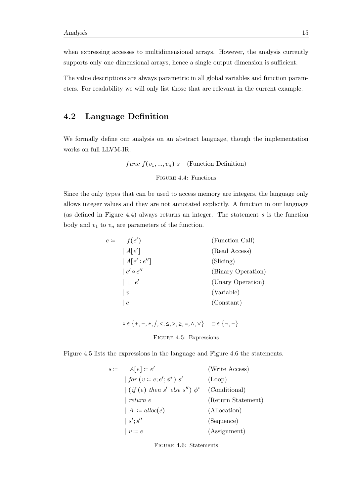when expressing accesses to multidimensional arrays. However, the analysis currently supports only one dimensional arrays, hence a single output dimension is sufficient.

The value descriptions are always parametric in all global variables and function parameters. For readability we will only list those that are relevant in the current example.

## <span id="page-24-0"></span>4.2 Language Definition

<span id="page-24-1"></span>We formally define our analysis on an abstract language, though the implementation works on full LLVM-IR.

func  $f(v_1, ..., v_n)$  s (Function Definition)

Figure 4.4: Functions

<span id="page-24-2"></span>Since the only types that can be used to access memory are integers, the language only allows integer values and they are not annotated explicitly. A function in our language (as defined in Figure [4.4\)](#page-24-1) always returns an integer. The statement  $s$  is the function body and  $v_1$  to  $v_n$  are parameters of the function.

| $e \coloneqq$ | f(e')               | (Function Call)    |
|---------------|---------------------|--------------------|
|               | A[e']               | (Read Access)      |
|               | A[e':e'']           | (Slicing)          |
|               | $ e' \circ e'' $    | (Binary Operation) |
|               | $\Box$ $e'$         | (Unary Operation)  |
|               | $\mid v$            | (Variable)         |
|               | $\lfloor c \rfloor$ | (Constant)         |

 $\circ \in \{+, -, *, /, <, \le, >, \ge, =, \land, \lor\}$  □ ∈  $\{\neg, -\}$ 

Figure 4.5: Expressions

<span id="page-24-3"></span>Figure [4.5](#page-24-2) lists the expressions in the language and Figure [4.6](#page-24-3) the statements.

| $s := A[e] := e'$                                     | (Write Access)     |
|-------------------------------------------------------|--------------------|
| for $(v = e; e'; \phi^*)$ s'                          | (Loop)             |
| $\int (if (e) then s' else s'') \phi^*$ (Conditional) |                    |
| $\vert$ return e                                      | (Return Statement) |
| $  A := \text{alloc}(e)$                              | (Allocation)       |
| s';s''                                                | (Sequence)         |
| $ v:=e$                                               | (Assignment)       |

Figure 4.6: Statements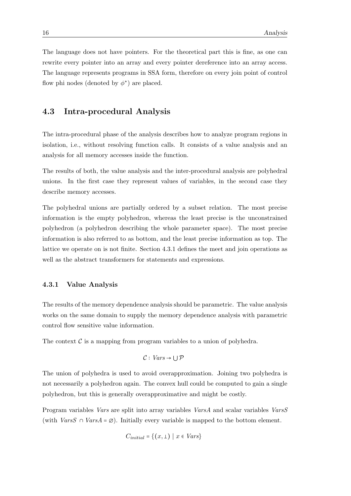The language does not have pointers. For the theoretical part this is fine, as one can rewrite every pointer into an array and every pointer dereference into an array access. The language represents programs in SSA form, therefore on every join point of control flow phi nodes (denoted by  $\phi^*$ ) are placed.

### <span id="page-25-0"></span>4.3 Intra-procedural Analysis

The intra-procedural phase of the analysis describes how to analyze program regions in isolation, i.e., without resolving function calls. It consists of a value analysis and an analysis for all memory accesses inside the function.

The results of both, the value analysis and the inter-procedural analysis are polyhedral unions. In the first case they represent values of variables, in the second case they describe memory accesses.

The polyhedral unions are partially ordered by a subset relation. The most precise information is the empty polyhedron, whereas the least precise is the unconstrained polyhedron (a polyhedron describing the whole parameter space). The most precise information is also referred to as bottom, and the least precise information as top. The lattice we operate on is not finite. Section [4.3.1](#page-25-1) defines the meet and join operations as well as the abstract transformers for statements and expressions.

#### <span id="page-25-1"></span>4.3.1 Value Analysis

The results of the memory dependence analysis should be parametric. The value analysis works on the same domain to supply the memory dependence analysis with parametric control flow sensitive value information.

The context  $\mathcal C$  is a mapping from program variables to a union of polyhedra.

$$
\mathcal{C}: \mathit{Vars} \to \cup \mathcal{P}
$$

The union of polyhedra is used to avoid overapproximation. Joining two polyhedra is not necessarily a polyhedron again. The convex hull could be computed to gain a single polyhedron, but this is generally overapproximative and might be costly.

Program variables Vars are split into array variables VarsA and scalar variables VarsS (with  $VarsS \cap VarsA = \emptyset$ ). Initially every variable is mapped to the bottom element.

$$
C_{initial} = \{(x, \perp) \mid x \in Vars\}
$$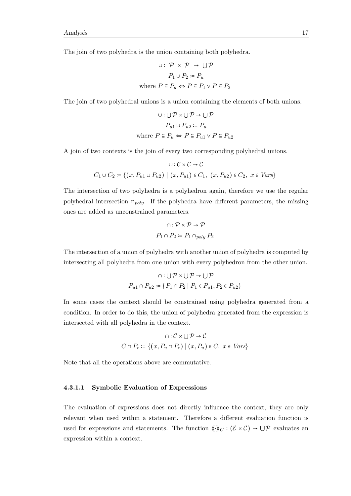The join of two polyhedra is the union containing both polyhedra.

$$
\cup: \mathcal{P} \times \mathcal{P} \to \bigcup \mathcal{P}
$$

$$
P_1 \cup P_2 := P_u
$$
  
where  $P \subseteq P_u \Leftrightarrow P \subseteq P_1 \vee P \subseteq P_2$ 

The join of two polyhedral unions is a union containing the elements of both unions.

$$
\cup: \bigcup \mathcal{P} \times \bigcup \mathcal{P} \to \bigcup \mathcal{P}
$$
  

$$
P_{u1} \cup P_{u2} := P_u
$$
  
where  $P \subseteq P_u \Leftrightarrow P \subseteq P_{u1} \vee P \subseteq P_{u2}$ 

A join of two contexts is the join of every two corresponding polyhedral unions.

$$
\cup : C \times C \to C
$$
  

$$
C_1 \cup C_2 := \{(x, P_{u1} \cup P_{u2}) \mid (x, P_{u1}) \in C_1, (x, P_{u2}) \in C_2, x \in Vars\}
$$

The intersection of two polyhedra is a polyhedron again, therefore we use the regular polyhedral intersection  $\cap_{poly}$ . If the polyhedra have different parameters, the missing ones are added as unconstrained parameters.

$$
\cap : \mathcal{P} \times \mathcal{P} \to \mathcal{P}
$$

$$
P_1 \cap P_2 \coloneqq P_1 \cap_{poly} P_2
$$

The intersection of a union of polyhedra with another union of polyhedra is computed by intersecting all polyhedra from one union with every polyhedron from the other union.

$$
\cap : \bigcup \mathcal{P} \times \bigcup \mathcal{P} \to \bigcup \mathcal{P}
$$

$$
P_{u1} \cap P_{u2} \coloneqq \{P_1 \cap P_2 \mid P_1 \in P_{u1}, P_2 \in P_{u2}\}
$$

In some cases the context should be constrained using polyhedra generated from a condition. In order to do this, the union of polyhedra generated from the expression is intersected with all polyhedra in the context.

$$
\cap : C \times \cup \mathcal{P} \to \mathcal{C}
$$

$$
C \cap P_e := \{(x, P_u \cap P_e) \mid (x, P_u) \in C, \ x \in Vars\}
$$

Note that all the operations above are commutative.

#### <span id="page-26-0"></span>4.3.1.1 Symbolic Evaluation of Expressions

The evaluation of expressions does not directly influence the context, they are only relevant when used within a statement. Therefore a different evaluation function is used for expressions and statements. The function  $\langle \cdot \rangle_C : (\mathcal{E} \times \mathcal{C}) \to \cup \mathcal{P}$  evaluates an expression within a context.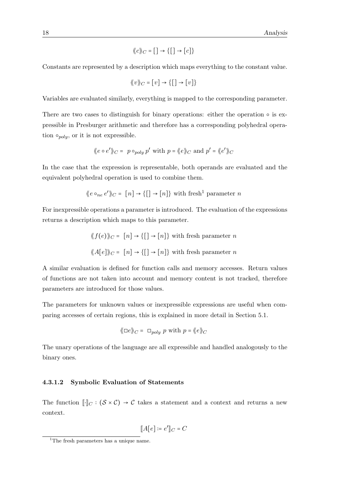$$
\langle\!\langle c \rangle\!\rangle_C = [\;] \to \{[\;] \to [c]\}
$$

Constants are represented by a description which maps everything to the constant value.

$$
\langle\!\langle v \rangle\!\rangle_C = [v] \to \{ [] \to [v] \}
$$

Variables are evaluated similarly, everything is mapped to the corresponding parameter.

There are two cases to distinguish for binary operations: either the operation  $\circ$  is expressible in Presburger arithmetic and therefore has a corresponding polyhedral operation  $\circ_{poly}$ , or it is not expressible.

$$
\langle e \circ e' \rangle_C = p \circ_{poly} p' \text{ with } p = \langle e \rangle_C \text{ and } p' = \langle e' \rangle_C
$$

In the case that the expression is representable, both operands are evaluated and the equivalent polyhedral operation is used to combine them.

$$
\langle e \circ_{ne} e' \rangle_C = [n] \rightarrow \{[\ ] \rightarrow [n]\}
$$
 with fresh<sup>1</sup> parameter *n*

For inexpressible operations a parameter is introduced. The evaluation of the expressions returns a description which maps to this parameter.

$$
\langle f(e) \rangle_C = [n] \to \{ [] \to [n] \}
$$
 with fresh parameter  $n$   

$$
\langle A[e] \rangle_C = [n] \to \{ [] \to [n] \}
$$
 with fresh parameter  $n$ 

A similar evaluation is defined for function calls and memory accesses. Return values of functions are not taken into account and memory content is not tracked, therefore parameters are introduced for those values.

The parameters for unknown values or inexpressible expressions are useful when comparing accesses of certain regions, this is explained in more detail in Section [5.1.](#page-46-1)

$$
\langle \Box e \rangle_C = \Box_{poly} p
$$
 with  $p = \langle e \rangle_C$ 

The unary operations of the language are all expressible and handled analogously to the binary ones.

#### <span id="page-27-1"></span>4.3.1.2 Symbolic Evaluation of Statements

The function  $\lVert \cdot \rVert_C : (\mathcal{S} \times \mathcal{C}) \to \mathcal{C}$  takes a statement and a context and returns a new context.

$$
[\![A[e]\!]:=e']\!]_C = C
$$

<span id="page-27-0"></span><sup>&</sup>lt;sup>1</sup>The fresh parameters has a unique name.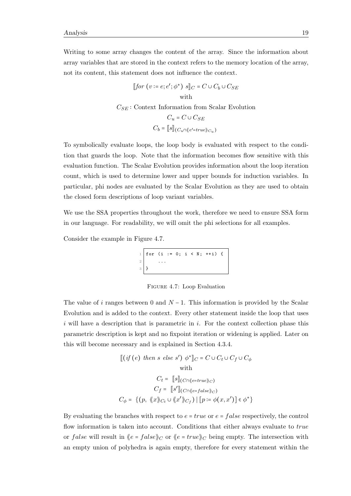Writing to some array changes the content of the array. Since the information about array variables that are stored in the context refers to the memory location of the array, not its content, this statement does not influence the context.

> $[for (v := e; e'; \phi^*) \ s]_C = C \cup C_b \cup C_{SE}$ with  $C_{SE}$ : Context Information from Scalar Evolution  $C_u = C \cup C_{SE}$  $C_b = \llbracket s \rrbracket_{(C_u \cap \langle e' = true) \rangle_{C_u}}$

To symbolically evaluate loops, the loop body is evaluated with respect to the condition that guards the loop. Note that the information becomes flow sensitive with this evaluation function. The Scalar Evolution provides information about the loop iteration count, which is used to determine lower and upper bounds for induction variables. In particular, phi nodes are evaluated by the Scalar Evolution as they are used to obtain the closed form descriptions of loop variant variables.

We use the SSA properties throughout the work, therefore we need to ensure SSA form in our language. For readability, we will omit the phi selections for all examples.

<span id="page-28-0"></span>Consider the example in Figure [4.7.](#page-28-0)

 $1 \mid for \text{ } (i := 0; i < N; \text{ }++i) \text{ } \{$ 2 ... 3 }

Figure 4.7: Loop Evaluation

The value of i ranges between 0 and  $N-1$ . This information is provided by the Scalar Evolution and is added to the context. Every other statement inside the loop that uses i will have a description that is parametric in i. For the context collection phase this parametric description is kept and no fixpoint iteration or widening is applied. Later on this will become necessary and is explained in Section [4.3.4.](#page-34-0)

$$
[(if (e) then s else s') \phi^*]_C = C \cup C_t \cup C_f \cup C_\phi
$$
  
with  

$$
C_t = [s]_{(C \cap \langle e = true \rangle_C)}
$$
  

$$
C_f = [s']_{(C \cap \langle e = false \rangle_C)}
$$
  

$$
C_\phi = \{(p, \langle x \rangle_C, \cup \langle x' \rangle_C)\} [p := \phi(x, x')] \in \phi^*\}
$$

By evaluating the branches with respect to  $e = true$  or  $e = false$  respectively, the control flow information is taken into account. Conditions that either always evaluate to true or false will result in  $\langle e = false \rangle\subset C$  or  $\langle e = true \rangle\subset C$  being empty. The intersection with an empty union of polyhedra is again empty, therefore for every statement within the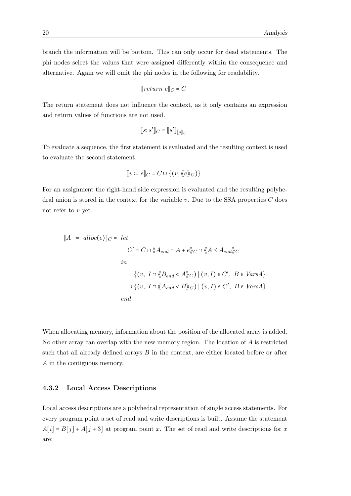branch the information will be bottom. This can only occur for dead statements. The phi nodes select the values that were assigned differently within the consequence and alternative. Again we will omit the phi nodes in the following for readability.

$$
[\![return\; e]\!]_C = C
$$

The return statement does not influence the context, as it only contains an expression and return values of functions are not used.

$$
[\![s;s']\!]_C = [\![s']\!]_{[\![s]\!]_C}
$$

To evaluate a sequence, the first statement is evaluated and the resulting context is used to evaluate the second statement.

$$
[\![v \coloneqq e]\!]_C = C \cup \{(v, \langle\!\langle e \rangle\!\rangle_C)\}
$$

For an assignment the right-hand side expression is evaluated and the resulting polyhedral union is stored in the context for the variable  $v$ . Due to the SSA properties  $C$  does not refer to  $v$  yet.

$$
[A := \text{alloc}(e)]_C = \text{let}
$$
\n
$$
C' = C \cap \langle \langle A_{end} = A + e \rangle_C \cap \langle \langle A \le A_{end} \rangle_C
$$
\n
$$
in
$$
\n
$$
\{ (v, I \cap \langle \langle B_{end} < A \rangle_C) \mid (v, I) \in C', B \in \text{VarsA} \}
$$
\n
$$
\cup \{ (v, I \cap \langle \langle A_{end} < B \rangle_C) \mid (v, I) \in C', B \in \text{VarsA} \}
$$
\n
$$
end
$$

When allocating memory, information about the position of the allocated array is added. No other array can overlap with the new memory region. The location of  $A$  is restricted such that all already defined arrays  $B$  in the context, are either located before or after A in the contiguous memory.

#### <span id="page-29-0"></span>4.3.2 Local Access Descriptions

Local access descriptions are a polyhedral representation of single access statements. For every program point a set of read and write descriptions is built. Assume the statement  $A[i] = B[j] + A[j+3]$  at program point x. The set of read and write descriptions for x are: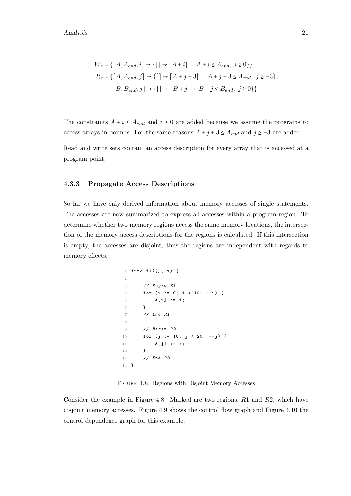$$
W_x = \{ [A, A_{end}, i] \rightarrow \{ [ ] \rightarrow [A + i] : A + i \leq A_{end}, i \geq 0 \} \}
$$
  

$$
R_x = \{ [A, A_{end}, j] \rightarrow \{ [ ] \rightarrow [A + j + 3] : A + j + 3 \leq A_{end}, j \geq -3 \},
$$
  

$$
[B, B_{end}, j] \rightarrow \{ [ ] \rightarrow [B + j] : B + j \leq B_{end}, j \geq 0 \} \}
$$

The constraints  $A + i \leq A_{end}$  and  $i \geq 0$  are added because we assume the programs to access arrays in bounds. For the same reasons  $A + j + 3 \leq A_{end}$  and  $j \geq -3$  are added.

Read and write sets contain an access description for every array that is accessed at a program point.

#### <span id="page-30-0"></span>4.3.3 Propagate Access Descriptions

So far we have only derived information about memory accesses of single statements. The accesses are now summarized to express all accesses within a program region. To determine whether two memory regions access the same memory locations, the intersection of the memory access descriptions for the regions is calculated. If this intersection is empty, the accesses are disjoint, thus the regions are independent with regards to memory effects.

```
1 func f(A[], x) {
2
3 // Begin R1
4 for (i := 0; i < 10; ++i) {
5 A[i] := i;6 }
7 // End R1
8
9 // Begin R2
10 for (j := 10; j < 20; ++j) {
11 A[j] := x;12 }
13 // End R2
14 }
```
Figure 4.8: Regions with Disjoint Memory Accesses

Consider the example in Figure [4.8.](#page-30-1) Marked are two regions, R1 and R2, which have disjoint memory accesses. Figure [4.9](#page-31-0) shows the control flow graph and Figure [4.10](#page-31-1) the control dependence graph for this example.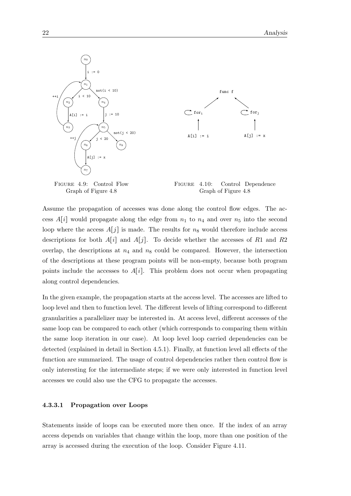<span id="page-31-1"></span><span id="page-31-0"></span>

Assume the propagation of accesses was done along the control flow edges. The access  $A[i]$  would propagate along the edge from  $n_1$  to  $n_4$  and over  $n_5$  into the second loop where the access  $A[j]$  is made. The results for  $n_8$  would therefore include access descriptions for both  $A[i]$  and  $A[j]$ . To decide whether the accesses of R1 and R2 overlap, the descriptions at  $n_4$  and  $n_8$  could be compared. However, the intersection of the descriptions at these program points will be non-empty, because both program points include the accesses to  $A[i]$ . This problem does not occur when propagating along control dependencies.

In the given example, the propagation starts at the access level. The accesses are lifted to loop level and then to function level. The different levels of lifting correspond to different granularities a parallelizer may be interested in. At access level, different accesses of the same loop can be compared to each other (which corresponds to comparing them within the same loop iteration in our case). At loop level loop carried dependencies can be detected (explained in detail in Section [4.5.1\)](#page-41-1). Finally, at function level all effects of the function are summarized. The usage of control dependencies rather then control flow is only interesting for the intermediate steps; if we were only interested in function level accesses we could also use the CFG to propagate the accesses.

#### 4.3.3.1 Propagation over Loops

Statements inside of loops can be executed more then once. If the index of an array access depends on variables that change within the loop, more than one position of the array is accessed during the execution of the loop. Consider Figure [4.11.](#page-32-0)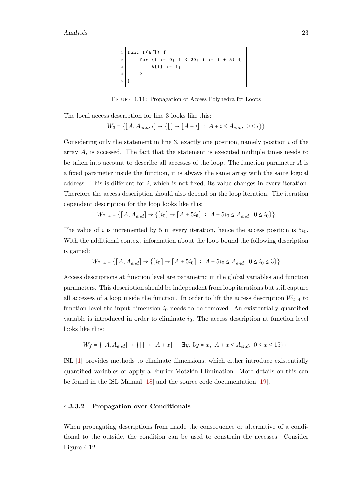```
func f(A[]) {
2 for (i := 0; i < 20; i := i + 5) {
3 A[i] := i;4 }
5 \mid 1
```
Figure 4.11: Propagation of Access Polyhedra for Loops

The local access description for line 3 looks like this:

$$
W_3 = \{[ \, A, A_{end}, i ] \rightarrow \{ [ \, ] \rightarrow [ \, A + i ] \; : \; A + i \leq A_{end}, \; 0 \leq i \} \}
$$

Considering only the statement in line 3, exactly one position, namely position  $i$  of the array A, is accessed. The fact that the statement is executed multiple times needs to be taken into account to describe all accesses of the loop. The function parameter  $A$  is a fixed parameter inside the function, it is always the same array with the same logical address. This is different for  $i$ , which is not fixed, its value changes in every iteration. Therefore the access description should also depend on the loop iteration. The iteration dependent description for the loop looks like this:

$$
W_{2-4} = \{ [A, A_{end}] \rightarrow \{ [i_0] \rightarrow [A + 5i_0] : A + 5i_0 \le A_{end}, 0 \le i_0 \} \}
$$

The value of i is incremented by 5 in every iteration, hence the access position is  $5i_0$ . With the additional context information about the loop bound the following description is gained:

$$
W_{2-4} = \{ [A, A_{end}] \rightarrow \{ [i_0] \rightarrow [A + 5i_0] : A + 5i_0 \le A_{end}, 0 \le i_0 \le 3 \} \}
$$

Access descriptions at function level are parametric in the global variables and function parameters. This description should be independent from loop iterations but still capture all accesses of a loop inside the function. In order to lift the access description  $W_{2-4}$  to function level the input dimension  $i_0$  needs to be removed. An existentially quantified variable is introduced in order to eliminate  $i_0$ . The access description at function level looks like this:

$$
W_f = \{ [A, A_{end}] \to \{ [] \to [A + x] : \exists y. 5y = x, A + x \le A_{end}, 0 \le x \le 15 \} \}
$$

ISL [\[1\]](#page-62-1) provides methods to eliminate dimensions, which either introduce existentially quantified variables or apply a Fourier-Motzkin-Elimination. More details on this can be found in the ISL Manual [\[18\]](#page-64-0) and the source code documentation [\[19\]](#page-64-1).

#### <span id="page-32-1"></span>4.3.3.2 Propagation over Conditionals

When propagating descriptions from inside the consequence or alternative of a conditional to the outside, the condition can be used to constrain the accesses. Consider Figure [4.12.](#page-33-0)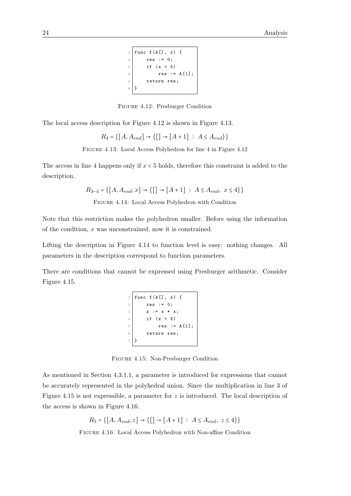```
1 func f (A[], x) {
2 \mid \text{res} := 0;3 if (x < 5)4 res := A[1];
5 return res;
6 }
```
Figure 4.12: Presburger Condition

<span id="page-33-1"></span><span id="page-33-0"></span>The local access description for Figure [4.12](#page-33-0) is shown in Figure [4.13.](#page-33-1)

$$
R_4 = \{ [A, A_{end}] \to \{ [ ] \to [A+1] : A \leq A_{end} \} \}
$$

Figure 4.13: Local Access Polyhedron for line 4 in Figure [4.12](#page-33-0)

<span id="page-33-2"></span>The access in line 4 happens only if  $x < 5$  holds, therefore this constraint is added to the description.

$$
R_{3-4} = \{ [A, A_{end}, x] \to \{ [ ] \to [A+1] : A \le A_{end}, x \le 4 \} \}
$$

Figure 4.14: Local Access Polyhedron with Condition

Note that this restriction makes the polyhedron smaller. Before using the information of the condition,  $x$  was unconstrained, now it is constrained.

Lifting the description in Figure [4.14](#page-33-2) to function level is easy: nothing changes. All parameters in the description correspond to function parameters.

<span id="page-33-3"></span>There are conditions that cannot be expressed using Presburger arithmetic. Consider Figure [4.15.](#page-33-3)

```
1 func f (A[], x) {
2 \mid \text{res} := 0;3 z := x * x;4 if (z \lt 5)5 res := A[1];
6 return res;
  7 }
```
Figure 4.15: Non-Presburger Condition

<span id="page-33-4"></span>As mentioned in Section [4.3.1.1,](#page-26-0) a parameter is introduced for expressions that cannot be accurately represented in the polyhedral union. Since the multiplication in line 3 of Figure [4.15](#page-33-3) is not expressible, a parameter for z is introduced. The local description of the access is shown in Figure [4.16.](#page-33-4)

$$
R_5 = \{ [A, A_{end}, z] \to \{ [ ] \to [A + 1] : A \le A_{end}, z \le 4 \} \}
$$

Figure 4.16: Local Access Polyhedron with Non-affine Condition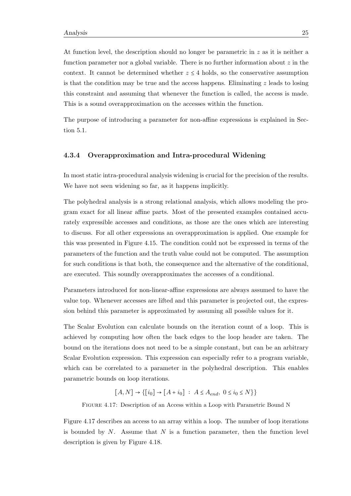At function level, the description should no longer be parametric in  $z$  as it is neither a function parameter nor a global variable. There is no further information about  $z$  in the context. It cannot be determined whether  $z \leq 4$  holds, so the conservative assumption is that the condition may be true and the access happens. Eliminating  $z$  leads to losing this constraint and assuming that whenever the function is called, the access is made. This is a sound overapproximation on the accesses within the function.

The purpose of introducing a parameter for non-affine expressions is explained in Section [5.1.](#page-46-1)

#### <span id="page-34-0"></span>4.3.4 Overapproximation and Intra-procedural Widening

In most static intra-procedural analysis widening is crucial for the precision of the results. We have not seen widening so far, as it happens implicitly.

The polyhedral analysis is a strong relational analysis, which allows modeling the program exact for all linear affine parts. Most of the presented examples contained accurately expressible accesses and conditions, as those are the ones which are interesting to discuss. For all other expressions an overapproximation is applied. One example for this was presented in Figure [4.15.](#page-33-3) The condition could not be expressed in terms of the parameters of the function and the truth value could not be computed. The assumption for such conditions is that both, the consequence and the alternative of the conditional, are executed. This soundly overapproximates the accesses of a conditional.

Parameters introduced for non-linear-affine expressions are always assumed to have the value top. Whenever accesses are lifted and this parameter is projected out, the expression behind this parameter is approximated by assuming all possible values for it.

The Scalar Evolution can calculate bounds on the iteration count of a loop. This is achieved by computing how often the back edges to the loop header are taken. The bound on the iterations does not need to be a simple constant, but can be an arbitrary Scalar Evolution expression. This expression can especially refer to a program variable, which can be correlated to a parameter in the polyhedral description. This enables parametric bounds on loop iterations.

 $[A, N] \rightarrow \{ [i_0] \rightarrow [A + i_0] : A \leq A_{end}, 0 \leq i_0 \leq N \}$ 

<span id="page-34-1"></span>Figure 4.17: Description of an Access within a Loop with Parametric Bound N

Figure [4.17](#page-34-1) describes an access to an array within a loop. The number of loop iterations is bounded by  $N$ . Assume that  $N$  is a function parameter, then the function level description is given by Figure [4.18.](#page-35-1)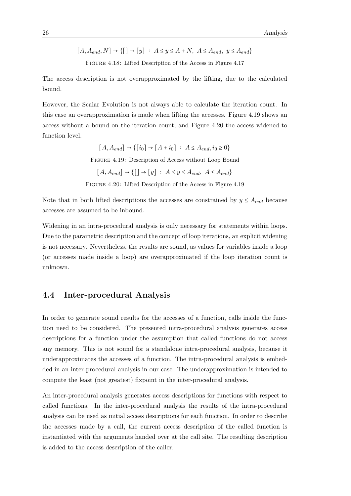<span id="page-35-1"></span> $[A, A_{end}, N] \rightarrow \{ [ ] \rightarrow [y] : A \leq y \leq A+N, A \leq A_{end}, y \leq A_{end} \}$ Figure 4.18: Lifted Description of the Access in Figure [4.17](#page-34-1)

The access description is not overapproximated by the lifting, due to the calculated bound.

<span id="page-35-2"></span>However, the Scalar Evolution is not always able to calculate the iteration count. In this case an overapproximation is made when lifting the accesses. Figure [4.19](#page-35-2) shows an access without a bound on the iteration count, and Figure [4.20](#page-35-3) the access widened to function level.

> $[A, A_{end}] \rightarrow \{ [i_0] \rightarrow [A + i_0] : A \leq A_{end}, i_0 \geq 0 \}$ Figure 4.19: Description of Access without Loop Bound  $[A, A_{end}] \rightarrow \{[\ ] \rightarrow [y] : A \leq y \leq A_{end}, A \leq A_{end}\}$

Figure 4.20: Lifted Description of the Access in Figure [4.19](#page-35-2)

<span id="page-35-3"></span>Note that in both lifted descriptions the accesses are constrained by  $y \leq A_{end}$  because accesses are assumed to be inbound.

Widening in an intra-procedural analysis is only necessary for statements within loops. Due to the parametric description and the concept of loop iterations, an explicit widening is not necessary. Nevertheless, the results are sound, as values for variables inside a loop (or accesses made inside a loop) are overapproximated if the loop iteration count is unknown.

### <span id="page-35-0"></span>4.4 Inter-procedural Analysis

In order to generate sound results for the accesses of a function, calls inside the function need to be considered. The presented intra-procedural analysis generates access descriptions for a function under the assumption that called functions do not access any memory. This is not sound for a standalone intra-procedural analysis, because it underapproximates the accesses of a function. The intra-procedural analysis is embedded in an inter-procedural analysis in our case. The underapproximation is intended to compute the least (not greatest) fixpoint in the inter-procedural analysis.

An inter-procedural analysis generates access descriptions for functions with respect to called functions. In the inter-procedural analysis the results of the intra-procedural analysis can be used as initial access descriptions for each function. In order to describe the accesses made by a call, the current access description of the called function is instantiated with the arguments handed over at the call site. The resulting description is added to the access description of the caller.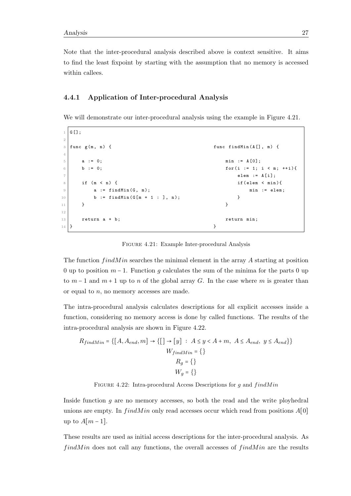Note that the inter-procedural analysis described above is context sensitive. It aims to find the least fixpoint by starting with the assumption that no memory is accessed within callees.

#### <span id="page-36-0"></span>4.4.1 Application of Inter-procedural Analysis

We will demonstrate our inter-procedural analysis using the example in Figure [4.21.](#page-36-1)

```
1 G [];
2
3 \mid func g(m, n) { functindMin(A[], m) {
4
5 a := 0; min := A [0];
6 b := 0; for (i := 1; i < m; ++i){
7 elem := A [i];
8 if (m < n) { if (elem < min){
9 a := findMin(G, m); min := elem;
10 b := \text{findMin}(G[m + 1 : ], n);11 } }
12
13 return a + b; return min;
14 }
```
Figure 4.21: Example Inter-procedural Analysis

The function  $findMin$  searches the minimal element in the array A starting at position 0 up to position  $m-1$ . Function g calculates the sum of the minima for the parts 0 up to  $m-1$  and  $m+1$  up to n of the global array G. In the case where m is greater than or equal to  $n$ , no memory accesses are made.

The intra-procedural analysis calculates descriptions for all explicit accesses inside a function, considering no memory access is done by called functions. The results of the intra-procedural analysis are shown in Figure [4.22.](#page-36-2)

<span id="page-36-2"></span>
$$
R_{findMin} = \{ [A, A_{end}, m] \rightarrow \{ [] \rightarrow [y] : A \le y < A + m, A \le A_{end}, y \le A_{end} \}
$$

$$
W_{findMin} = \{ \}
$$

$$
R_g = \{ \}
$$

$$
W_g = \{ \}
$$

FIGURE 4.22: Intra-procedural Access Descriptions for  $g$  and  $findMin$ 

Inside function g are no memory accesses, so both the read and the write ployhedral unions are empty. In  $findMin$  only read accesses occur which read from positions  $A[0]$ up to  $A[m-1]$ .

These results are used as initial access descriptions for the inter-procedural analysis. As  $findMin$  does not call any functions, the overall accesses of  $findMin$  are the results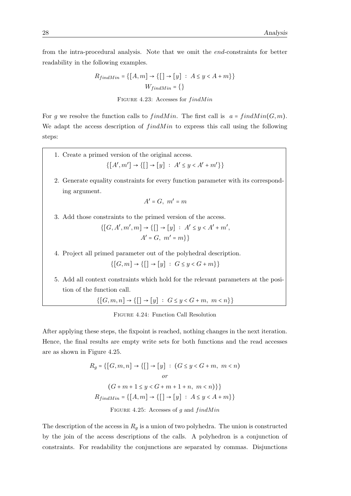from the intra-procedural analysis. Note that we omit the end-constraints for better readability in the following examples.

$$
R_{findMin} = \{ [A, m] \rightarrow \{ [] \rightarrow [y] : A \le y < A + m \} \}
$$
\n
$$
W_{findMin} = \{ \}
$$

FIGURE 4.23: Accesses for  $findMin$ 

For g we resolve the function calls to  $findMin$ . The first call is  $a = findMin(G, m)$ . We adapt the access description of  $findMin$  to express this call using the following steps:

- <span id="page-37-1"></span>1. Create a primed version of the original access.  $\{[A', m'] \to \{[] \to [y] : A' \leq y < A' + m' \} \}$
- 2. Generate equality constraints for every function parameter with its corresponding argument.

$$
A'=G,\ m'=m
$$

3. Add those constraints to the primed version of the access.

$$
\{[G, A', m', m] \to \{[\ ] \to [y] : A' \le y < A' + m', \ A' = G, \ m' = m \} \}
$$

4. Project all primed parameter out of the polyhedral description.

 $\{[G,m] \to \{[] \to [y] : G \leq y < G + m\} \}$ 

5. Add all context constraints which hold for the relevant parameters at the position of the function call.

 $\{[G, m, n] \to \{[] \to [y] : G \leq y < G + m, m < n\}\}$ 

<span id="page-37-0"></span>After applying these steps, the fixpoint is reached, nothing changes in the next iteration. Hence, the final results are empty write sets for both functions and the read accesses are as shown in Figure [4.25.](#page-37-0)

$$
R_g = \{ [G, m, n] \rightarrow \{ [] \rightarrow [y] : (G \le y < G + m, m < n) \}
$$
\nor

\n
$$
(G + m + 1 \le y < G + m + 1 + n, m < n) \}
$$
\n
$$
R_{findMin} = \{ [A, m] \rightarrow \{ [] \rightarrow [y] : A \le y < A + m \} \}
$$
\nFIGURE 4.25: Accesses of  $g$  and  $findMin$ 

The description of the access in  $R_g$  is a union of two polyhedra. The union is constructed by the join of the access descriptions of the calls. A polyhedron is a conjunction of constraints. For readability the conjunctions are separated by commas. Disjunctions

Figure 4.24: Function Call Resolution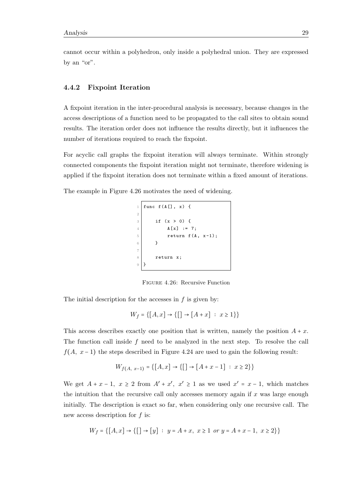cannot occur within a polyhedron, only inside a polyhedral union. They are expressed by an "or".

#### <span id="page-38-0"></span>4.4.2 Fixpoint Iteration

A fixpoint iteration in the inter-procedural analysis is necessary, because changes in the access descriptions of a function need to be propagated to the call sites to obtain sound results. The iteration order does not influence the results directly, but it influences the number of iterations required to reach the fixpoint.

For acyclic call graphs the fixpoint iteration will always terminate. Within strongly connected components the fixpoint iteration might not terminate, therefore widening is applied if the fixpoint iteration does not terminate within a fixed amount of iterations.

<span id="page-38-1"></span>The example in Figure [4.26](#page-38-1) motivates the need of widening.

```
1 \mid func f(A[], x) {
2
3 if (x > 0) {
4 A[x] := 7;5 return f(A, x-1);6 }
7
8 return x;
 9 }
```
Figure 4.26: Recursive Function

The initial description for the accesses in  $f$  is given by:

$$
W_f = \{ [A, x] \to \{ [ ] \to [A + x] : x \ge 1 \} \}
$$

This access describes exactly one position that is written, namely the position  $A + x$ . The function call inside  $f$  need to be analyzed in the next step. To resolve the call  $f(A, x-1)$  the steps described in Figure [4.24](#page-37-1) are used to gain the following result:

$$
W_{f(A, x-1)} = \{ [A, x] \to \{ [ ] \to [A + x - 1] : x \ge 2 \} \}
$$

We get  $A + x - 1$ ,  $x \ge 2$  from  $A' + x'$ ,  $x' \ge 1$  as we used  $x' = x - 1$ , which matches the intuition that the recursive call only accesses memory again if  $x$  was large enough initially. The description is exact so far, when considering only one recursive call. The new access description for f is:

$$
W_f = \{ [A, x] \to \{ [] \to [y] : y = A + x, x \ge 1 \text{ or } y = A + x - 1, x \ge 2 \} \}
$$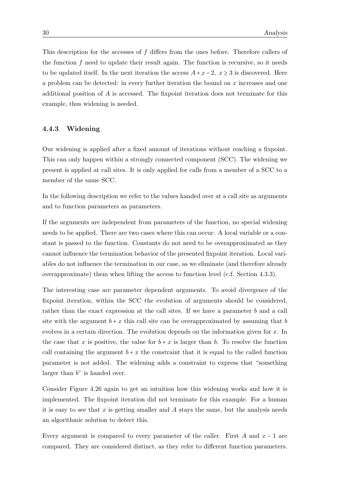This description for the accesses of f differs from the ones before. Therefore callers of the function  $f$  need to update their result again. The function is recursive, so it needs to be updated itself. In the next iteration the access  $A + x - 2$ ,  $x \ge 3$  is discovered. Here a problem can be detected: in every further iteration the bound on  $x$  increases and one additional position of A is accessed. The fixpoint iteration does not terminate for this example, thus widening is needed.

#### <span id="page-39-0"></span>4.4.3 Widening

Our widening is applied after a fixed amount of iterations without reaching a fixpoint. This can only happen within a strongly connected component (SCC). The widening we present is applied at call sites. It is only applied for calls from a member of a SCC to a member of the same SCC.

In the following description we refer to the values handed over at a call site as arguments and to function parameters as parameters.

If the arguments are independent from parameters of the function, no special widening needs to be applied. There are two cases where this can occur: A local variable or a constant is passed to the function. Constants do not need to be overapproximated as they cannot influence the termination behavior of the presented fixpoint iteration. Local variables do not influence the termination in our case, as we eliminate (and therefore already overapproximate) them when lifting the access to function level (c.f. Section [4.3.3\)](#page-30-0).

The interesting case are parameter dependent arguments. To avoid divergence of the fixpoint iteration, within the SCC the evolution of arguments should be considered, rather than the exact expression at the call sites. If we have a parameter b and a call site with the argument  $b + x$  this call site can be overapproximated by assuming that b evolves in a certain direction. The evolution depends on the information given for x. In the case that x is positive, the value for  $b + x$  is larger than b. To resolve the function call containing the argument  $b + x$  the constraint that it is equal to the called function parameter is not added. The widening adds a constraint to express that "something larger than  $b$ " is handed over.

Consider Figure [4.26](#page-38-1) again to get an intuition how this widening works and how it is implemented. The fixpoint iteration did not terminate for this example. For a human it is easy to see that x is getting smaller and A stays the same, but the analysis needs an algorithmic solution to detect this.

Every argument is compared to every parameter of the caller. First A and  $x - 1$  are compared. They are considered distinct, as they refer to different function parameters.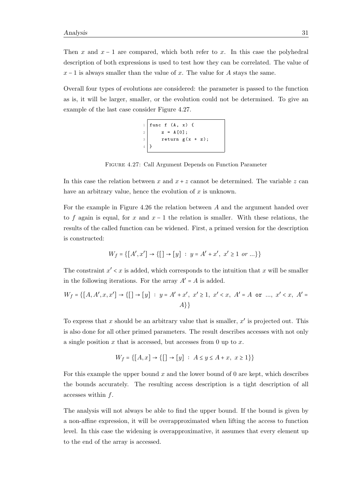Then x and  $x - 1$  are compared, which both refer to x. In this case the polyhedral description of both expressions is used to test how they can be correlated. The value of  $x - 1$  is always smaller than the value of x. The value for A stays the same.

<span id="page-40-0"></span>Overall four types of evolutions are considered: the parameter is passed to the function as is, it will be larger, smaller, or the evolution could not be determined. To give an example of the last case consider Figure [4.27.](#page-40-0)

$$
\begin{array}{c}\n1 \\
2 \\
2 \\
3 \\
4\n\end{array}
$$
\n  
\n
$$
\begin{array}{c}\n1 \text{ func } f (A, x) \{ \\
z = A[0]; \\
z = \text{ return } g(x + z);\n\end{array}
$$

Figure 4.27: Call Argument Depends on Function Parameter

In this case the relation between x and  $x + z$  cannot be determined. The variable z can have an arbitrary value, hence the evolution of  $x$  is unknown.

For the example in Figure [4.26](#page-38-1) the relation between A and the argument handed over to f again is equal, for x and  $x - 1$  the relation is smaller. With these relations, the results of the called function can be widened. First, a primed version for the description is constructed:

$$
W_f = \{ [A', x'] \to \{ [] \to [y] : y = A' + x', x' \ge 1 \text{ or } ... \}
$$

The constraint  $x' < x$  is added, which corresponds to the intuition that x will be smaller in the following iterations. For the array  $A' = A$  is added.

$$
W_f = \{ [A, A', x, x'] \to \{ [] \to [y] : y = A' + x', x' \ge 1, x' < x, A' = A \text{ or } \dots, x' < x, A' = A \}
$$

To express that x should be an arbitrary value that is smaller,  $x'$  is projected out. This is also done for all other primed parameters. The result describes accesses with not only a single position  $x$  that is accessed, but accesses from 0 up to  $x$ .

$$
W_f = \{ [A, x] \to \{ [] \to [y] : A \le y \le A + x, x \ge 1 \} \}
$$

For this example the upper bound  $x$  and the lower bound of 0 are kept, which describes the bounds accurately. The resulting access description is a tight description of all accesses within f.

The analysis will not always be able to find the upper bound. If the bound is given by a non-affine expression, it will be overapproximated when lifting the access to function level. In this case the widening is overapproximative, it assumes that every element up to the end of the array is accessed.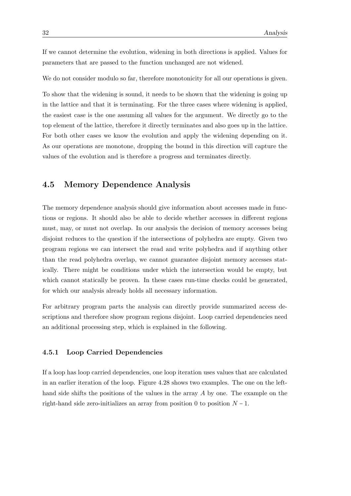If we cannot determine the evolution, widening in both directions is applied. Values for parameters that are passed to the function unchanged are not widened.

We do not consider modulo so far, therefore monotonicity for all our operations is given.

To show that the widening is sound, it needs to be shown that the widening is going up in the lattice and that it is terminating. For the three cases where widening is applied, the easiest case is the one assuming all values for the argument. We directly go to the top element of the lattice, therefore it directly terminates and also goes up in the lattice. For both other cases we know the evolution and apply the widening depending on it. As our operations are monotone, dropping the bound in this direction will capture the values of the evolution and is therefore a progress and terminates directly.

### <span id="page-41-0"></span>4.5 Memory Dependence Analysis

The memory dependence analysis should give information about accesses made in functions or regions. It should also be able to decide whether accesses in different regions must, may, or must not overlap. In our analysis the decision of memory accesses being disjoint reduces to the question if the intersections of polyhedra are empty. Given two program regions we can intersect the read and write polyhedra and if anything other than the read polyhedra overlap, we cannot guarantee disjoint memory accesses statically. There might be conditions under which the intersection would be empty, but which cannot statically be proven. In these cases run-time checks could be generated, for which our analysis already holds all necessary information.

For arbitrary program parts the analysis can directly provide summarized access descriptions and therefore show program regions disjoint. Loop carried dependencies need an additional processing step, which is explained in the following.

#### <span id="page-41-1"></span>4.5.1 Loop Carried Dependencies

If a loop has loop carried dependencies, one loop iteration uses values that are calculated in an earlier iteration of the loop. Figure [4.28](#page-42-0) shows two examples. The one on the lefthand side shifts the positions of the values in the array A by one. The example on the right-hand side zero-initializes an array from position 0 to position  $N-1$ .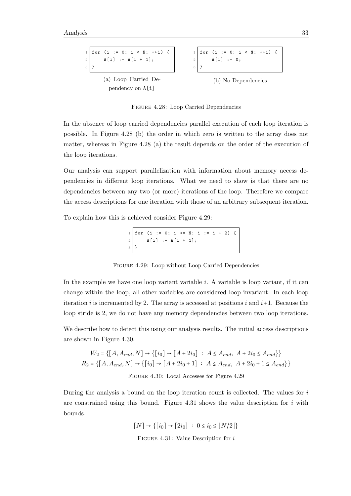<span id="page-42-0"></span>

Figure 4.28: Loop Carried Dependencies

In the absence of loop carried dependencies parallel execution of each loop iteration is possible. In Figure [4.28](#page-42-0) (b) the order in which zero is written to the array does not matter, whereas in Figure [4.28](#page-42-0) (a) the result depends on the order of the execution of the loop iterations.

Our analysis can support parallelization with information about memory access dependencies in different loop iterations. What we need to show is that there are no dependencies between any two (or more) iterations of the loop. Therefore we compare the access descriptions for one iteration with those of an arbitrary subsequent iteration.

<span id="page-42-1"></span>To explain how this is achieved consider Figure [4.29:](#page-42-1)

 $1 \mid for \text{ } (i := 0; i \text{ } \Leftarrow \text{ } \texttt{N}; \text{ } i := i + 2) \text{ } \{$ 2 |  $A[i] := A[i + 1];$ 3 }

Figure 4.29: Loop without Loop Carried Dependencies

In the example we have one loop variant variable  $i$ . A variable is loop variant, if it can change within the loop, all other variables are considered loop invariant. In each loop iteration i is incremented by 2. The array is accessed at positions i and  $i+1$ . Because the loop stride is 2, we do not have any memory dependencies between two loop iterations.

We describe how to detect this using our analysis results. The initial access descriptions are shown in Figure [4.30.](#page-42-2)

<span id="page-42-2"></span>
$$
W_2 = \{ [A, A_{end}, N] \to \{ [i_0] \to [A + 2i_0] : A \le A_{end}, A + 2i_0 \le A_{end} \}
$$
  

$$
R_2 = \{ [A, A_{end}, N] \to \{ [i_0] \to [A + 2i_0 + 1] : A \le A_{end}, A + 2i_0 + 1 \le A_{end} \}
$$
  
FIGURE 4.30: Local Accesses for Figure 4.29

<span id="page-42-3"></span>During the analysis a bound on the loop iteration count is collected. The values for  $i$ are constrained using this bound. Figure [4.31](#page-42-3) shows the value description for  $i$  with bounds.

> $[N] \rightarrow \{ [i_0] \rightarrow [2i_0] : 0 \le i_0 \le |N/2| \}$ FIGURE 4.31: Value Description for  $i$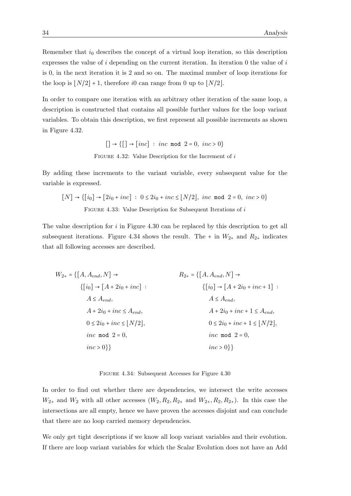Remember that  $i_0$  describes the concept of a virtual loop iteration, so this description expresses the value of  $i$  depending on the current iteration. In iteration 0 the value of  $i$ is 0, in the next iteration it is 2 and so on. The maximal number of loop iterations for the loop is  $|N/2| + 1$ , therefore i0 can range from 0 up to  $|N/2|$ .

In order to compare one iteration with an arbitrary other iteration of the same loop, a description is constructed that contains all possible further values for the loop variant variables. To obtain this description, we first represent all possible increments as shown in Figure [4.32.](#page-43-0)

> $[] \rightarrow [] \rightarrow [inc] : inc \mod 2 = 0, inc > 0]$ FIGURE 4.32: Value Description for the Increment of  $i$

<span id="page-43-0"></span>By adding these increments to the variant variable, every subsequent value for the variable is expressed.

$$
[N] \rightarrow \{ [i_0] \rightarrow [2i_0 + inc] : 0 \le 2i_0 + inc \le \lfloor N/2 \rfloor, inc \mod 2 = 0, inc > 0 \}
$$
  
FIGURE 4.33: Value Description for Subsequent Iterations of *i*

The value description for  $i$  in Figure [4.30](#page-42-2) can be replaced by this description to get all subsequent iterations. Figure [4.34](#page-43-1) shows the result. The  $+$  in  $W_{2+}$  and  $R_{2+}$  indicates that all following accesses are described.

<span id="page-43-1"></span>
$$
W_{2+} = \{ [A, A_{end}, N] \rightarrow
$$
  
\n
$$
\{ [i_0] \rightarrow [A + 2i_0 + inc] : \{ [i_0] \rightarrow [A + 2i_0 + inc + 1] : \{ [i_0] \rightarrow [A + 2i_0 + inc + 1] : \{ [i_0] \rightarrow [A + 2i_0 + inc + 1] : \{ [i_0] \rightarrow [A + 2i_0 + inc + 1] \} } \}
$$
  
\n
$$
A \le A_{end},
$$
  
\n
$$
A + 2i_0 + inc \le A_{end},
$$
  
\n
$$
0 \le 2i_0 + inc \le [N/2],
$$
  
\n
$$
0 \le 2i_0 + inc + 1 \le [N/2],
$$
  
\n
$$
0 \le 2i_0 + inc + 1 \le [N/2],
$$
  
\n
$$
inc \mod 2 = 0,
$$
  
\n
$$
inc > 0 \}
$$
  
\n
$$
inc > 0 \}
$$

Figure 4.34: Subsequent Accesses for Figure [4.30](#page-42-2)

In order to find out whether there are dependencies, we intersect the write accesses  $W_{2+}$  and  $W_2$  with all other accesses  $(W_2, R_2, R_{2+}$  and  $W_{2+}, R_2, R_{2+})$ . In this case the intersections are all empty, hence we have proven the accesses disjoint and can conclude that there are no loop carried memory dependencies.

We only get tight descriptions if we know all loop variant variables and their evolution. If there are loop variant variables for which the Scalar Evolution does not have an Add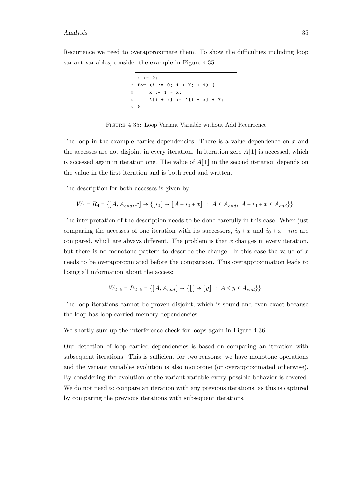<span id="page-44-0"></span>Recurrence we need to overapproximate them. To show the difficulties including loop variant variables, consider the example in Figure [4.35:](#page-44-0)

```
x : = 0;for (i := 0; i < N; ++i) {
3 \mid x := 1 - x;4 A[i + x] := A[i + x] + 7;5 }
```


The loop in the example carries dependencies. There is a value dependence on x and the accesses are not disjoint in every iteration. In iteration zero  $A[1]$  is accessed, which is accessed again in iteration one. The value of  $A[1]$  in the second iteration depends on the value in the first iteration and is both read and written.

The description for both accesses is given by:

$$
W_4 = R_4 = \{ [A, A_{end}, x] \rightarrow \{ [i_0] \rightarrow [A + i_0 + x] : A \le A_{end}, A + i_0 + x \le A_{end} \} \}
$$

The interpretation of the description needs to be done carefully in this case. When just comparing the accesses of one iteration with its successors,  $i_0 + x$  and  $i_0 + x + inc$  are compared, which are always different. The problem is that  $x$  changes in every iteration, but there is no monotone pattern to describe the change. In this case the value of  $x$ needs to be overapproximated before the comparison. This overapproximation leads to losing all information about the access:

$$
W_{2-5} = R_{2-5} = \{ [A, A_{end}] \to \{ [ ] \to [y] : A \le y \le A_{end} \} \}
$$

The loop iterations cannot be proven disjoint, which is sound and even exact because the loop has loop carried memory dependencies.

We shortly sum up the interference check for loops again in Figure [4.36.](#page-45-0)

Our detection of loop carried dependencies is based on comparing an iteration with subsequent iterations. This is sufficient for two reasons: we have monotone operations and the variant variables evolution is also monotone (or overapproximated otherwise). By considering the evolution of the variant variable every possible behavior is covered. We do not need to compare an iteration with any previous iterations, as this is captured by comparing the previous iterations with subsequent iterations.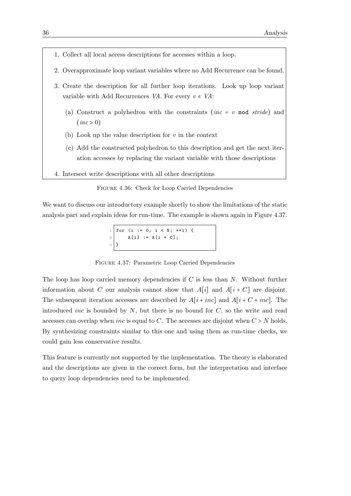- <span id="page-45-0"></span>1. Collect all local access descriptions for accesses within a loop.
- 2. Overapproximate loop variant variables where no Add Recurrence can be found.
- 3. Create the description for all further loop iterations. Look up loop variant variable with Add Recurrences VA. For every  $v \in VA$ :
	- (a) Construct a polyhedron with the constraints (inc = v mod stride) and  $(inc > 0)$
	- (b) Look up the value description for  $v$  in the context
	- (c) Add the constructed polyhedron to this description and get the next iteration accesses by replacing the variant variable with those descriptions
- 4. Intersect write descriptions with all other descriptions

| FIGURE 4.36: Check for Loop Carried Dependencies |  |  |  |
|--------------------------------------------------|--|--|--|
|                                                  |  |  |  |

<span id="page-45-1"></span>We want to discuss our introductory example shortly to show the limitations of the static analysis part and explain ideas for run-time. The example is shown again in Figure [4.37.](#page-45-1)

 $1 \mid for \text{ } (i := 0; i < N; ++i) \text{ } \{$ 2  $A[i] := A[i + C];$ 3 }

Figure 4.37: Parametric Loop Carried Dependencies

The loop has loop carried memory dependencies if  $C$  is less than  $N$ . Without further information about C our analysis cannot show that  $A[i]$  and  $A[i+C]$  are disjoint. The subsequent iteration accesses are described by  $A[i + inc]$  and  $A[i + C + inc]$ . The introduced *inc* is bounded by  $N$ , but there is no bound for  $C$ , so the write and read accesses can overlap when *inc* is equal to  $C$ . The accesses are disjoint when  $C > N$  holds. By synthesizing constraints similar to this one and using them as run-time checks, we could gain less conservative results.

This feature is currently not supported by the implementation. The theory is elaborated and the descriptions are given in the correct form, but the interpretation and interface to query loop dependencies need to be implemented.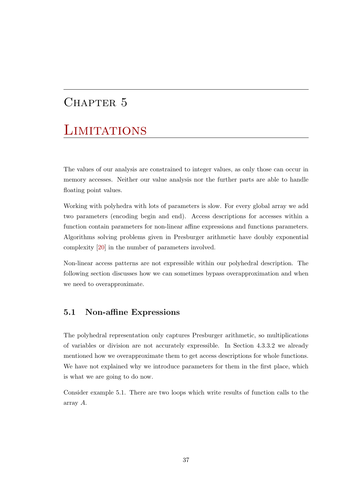## <span id="page-46-0"></span>CHAPTER 5

# **LIMITATIONS**

The values of our analysis are constrained to integer values, as only those can occur in memory accesses. Neither our value analysis nor the further parts are able to handle floating point values.

Working with polyhedra with lots of parameters is slow. For every global array we add two parameters (encoding begin and end). Access descriptions for accesses within a function contain parameters for non-linear affine expressions and functions parameters. Algorithms solving problems given in Presburger arithmetic have doubly exponential complexity [\[20\]](#page-64-2) in the number of parameters involved.

Non-linear access patterns are not expressible within our polyhedral description. The following section discusses how we can sometimes bypass overapproximation and when we need to overapproximate.

## <span id="page-46-1"></span>5.1 Non-affine Expressions

The polyhedral representation only captures Presburger arithmetic, so multiplications of variables or division are not accurately expressible. In Section [4.3.3.2](#page-32-1) we already mentioned how we overapproximate them to get access descriptions for whole functions. We have not explained why we introduce parameters for them in the first place, which is what we are going to do now.

Consider example [5.1.](#page-47-0) There are two loops which write results of function calls to the array A.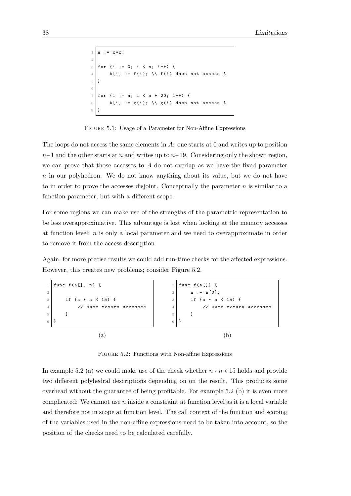```
1 \mid n := x * x;2
3 \mid for (i := 0; i < n; i++) {
4 A[i] := f(i); \\ f(i) does not access A
5}
6
7 \mid for (i := n; i < n + 20; i++) {
8 A[i] := g(i); \\ g(i) does not access A
9 }
```
FIGURE 5.1: Usage of a Parameter for Non-Affine Expressions

The loops do not access the same elements in A: one starts at 0 and writes up to position  $n-1$  and the other starts at n and writes up to  $n+19$ . Considering only the shown region, we can prove that those accesses to  $A$  do not overlap as we have the fixed parameter n in our polyhedron. We do not know anything about its value, but we do not have to in order to prove the accesses disjoint. Conceptually the parameter  $n$  is similar to a function parameter, but with a different scope.

For some regions we can make use of the strengths of the parametric representation to be less overapproximative. This advantage is lost when looking at the memory accesses at function level: n is only a local parameter and we need to overapproximate in order to remove it from the access description.

Again, for more precise results we could add run-time checks for the affected expressions. However, this creates new problems; consider Figure [5.2.](#page-47-1)

<span id="page-47-1"></span>

Figure 5.2: Functions with Non-affine Expressions

In example [5.2](#page-47-1) (a) we could make use of the check whether  $n * n < 15$  holds and provide two different polyhedral descriptions depending on on the result. This produces some overhead without the guarantee of being profitable. For example [5.2](#page-47-1) (b) it is even more complicated: We cannot use  $n$  inside a constraint at function level as it is a local variable and therefore not in scope at function level. The call context of the function and scoping of the variables used in the non-affine expressions need to be taken into account, so the position of the checks need to be calculated carefully.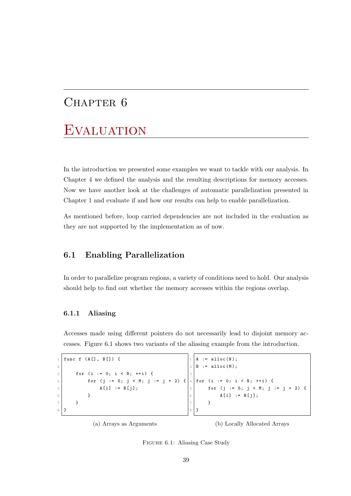## <span id="page-48-0"></span>CHAPTER 6

## **EVALUATION**

In the introduction we presented some examples we want to tackle with our analysis. In Chapter [4](#page-22-0) we defined the analysis and the resulting descriptions for memory accesses. Now we have another look at the challenges of automatic parallelization presented in Chapter [1](#page-10-0) and evaluate if and how our results can help to enable parallelization.

As mentioned before, loop carried dependencies are not included in the evaluation as they are not supported by the implementation as of now.

## <span id="page-48-1"></span>6.1 Enabling Parallelization

In order to parallelize program regions, a variety of conditions need to hold. Our analysis should help to find out whether the memory accesses within the regions overlap.

#### <span id="page-48-2"></span>6.1.1 Aliasing

Accesses made using different pointers do not necessarily lead to disjoint memory accesses. Figure [6.1](#page-48-3) shows two variants of the aliasing example from the introduction.

```
1 func f (A[], B[]) {
2
3 for (i := 0; i < N; ++i) {
4 for (j := 5; j < M; j := j + 2) {
5 A[i] := B[j];6 }
     7 }
 8 }
                                            := alloc(N);
                                         2 \mid B := \text{alloc}(M);3
                                         4 \mid for (i := 0; i < N; ++i) {
                                         5 for (j := 5; j < M; j := j + 2) {
                                         6 A[i] := B[j];7 }
                                         8 }
```
(a) Arrays as Arguments

(b) Locally Allocated Arrays

Figure 6.1: Aliasing Case Study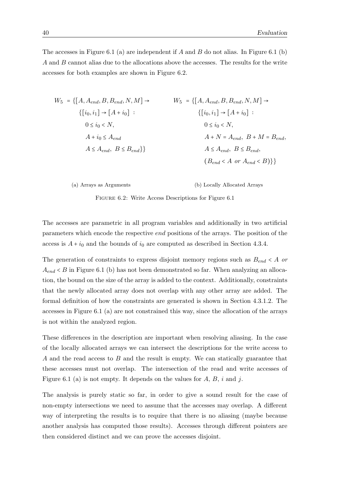The accesses in Figure [6.1](#page-48-3) (a) are independent if A and B do not alias. In Figure 6.1 (b) A and B cannot alias due to the allocations above the accesses. The results for the write accesses for both examples are shown in Figure [6.2.](#page-49-0)

<span id="page-49-0"></span>
$$
W_5 = \{ [A, A_{end}, B, B_{end}, N, M] \rightarrow W_5 = \{ [A, A_{end}, B, B_{end}, N, M] \rightarrow \{ [i_0, i_1] \rightarrow [A + i_0] : \begin{cases} 0 \le i_0 < N, \\ A + i_0 \le A_{end} \end{cases}
$$
\n
$$
0 \le i_0 < N, \begin{cases} 0 \le i_0 < N, \\ A + N = A_{end}, B + M = B_{end}, \\ A \le A_{end}, B \le B_{end} \}
$$
\n
$$
A \le A_{end}, B \le B_{end} \}
$$
\n
$$
(B_{end} < A \text{ or } A_{end} < B) \}
$$

(a) Arrays as Arguments

(b) Locally Allocated Arrays

Figure 6.2: Write Access Descriptions for Figure [6.1](#page-48-3)

The accesses are parametric in all program variables and additionally in two artificial parameters which encode the respective end positions of the arrays. The position of the access is  $A + i_0$  and the bounds of  $i_0$  are computed as described in Section [4.3.4.](#page-34-0)

The generation of constraints to express disjoint memory regions such as  $B_{end} < A$  or  $A_{end}$  < B in Figure [6.1](#page-48-3) (b) has not been demonstrated so far. When analyzing an allocation, the bound on the size of the array is added to the context. Additionally, constraints that the newly allocated array does not overlap with any other array are added. The formal definition of how the constraints are generated is shown in Section [4.3.1.2.](#page-27-1) The accesses in Figure [6.1](#page-48-3) (a) are not constrained this way, since the allocation of the arrays is not within the analyzed region.

These differences in the description are important when resolving aliasing. In the case of the locally allocated arrays we can intersect the descriptions for the write access to A and the read access to B and the result is empty. We can statically guarantee that these accesses must not overlap. The intersection of the read and write accesses of Figure [6.1](#page-48-3) (a) is not empty. It depends on the values for  $A, B, i$  and j.

The analysis is purely static so far, in order to give a sound result for the case of non-empty intersections we need to assume that the accesses may overlap. A different way of interpreting the results is to require that there is no aliasing (maybe because another analysis has computed those results). Accesses through different pointers are then considered distinct and we can prove the accesses disjoint.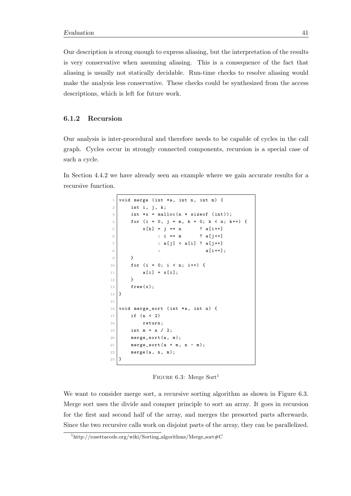Our description is strong enough to express aliasing, but the interpretation of the results is very conservative when assuming aliasing. This is a consequence of the fact that aliasing is usually not statically decidable. Run-time checks to resolve aliasing would make the analysis less conservative. These checks could be synthesized from the access descriptions, which is left for future work.

#### <span id="page-50-0"></span>6.1.2 Recursion

Our analysis is inter-procedural and therefore needs to be capable of cycles in the call graph. Cycles occur in strongly connected components, recursion is a special case of such a cycle.

<span id="page-50-2"></span>In Section [4.4.2](#page-38-0) we have already seen an example where we gain accurate results for a recursive function.

```
void merge (int *a, int n, int m) {
2 int i, j, k;
3 int *x = malloc(n * sizeof (int));
4 for (i = 0, j = m, k = 0; k < n; k++) {
5 x[k] = j == n ? a[i++]6 : i == m ? a [j + +]
7 : a[j] < a[i] ? a[j++]
8 \vert : a[i + 1];9 }
10 for (i = 0; i < n; i++) {
11 a[i] = x[i];12 }
13 free (x);
14 }
15
16 void merge_sort (int *a, int n) {
17 if (n < 2)
18 return;
19 int m = n / 2;
20 merge_sort (a, m);
21 merge_sort (a + m, n - m);22 merge (a, n, m);
23 \mid \}
```
FIGURE 6.3: Merge Sort<sup>[1](#page-50-1)</sup>

We want to consider merge sort, a recursive sorting algorithm as shown in Figure [6.3.](#page-50-2) Merge sort uses the divide and conquer principle to sort an array. It goes in recursion for the first and second half of the array, and merges the presorted parts afterwards. Since the two recursive calls work on disjoint parts of the array, they can be parallelized.

<span id="page-50-1"></span><sup>&</sup>lt;sup>1</sup>http://rosettacode.org/wiki/Sorting\_algorithms/Merge\_sort#C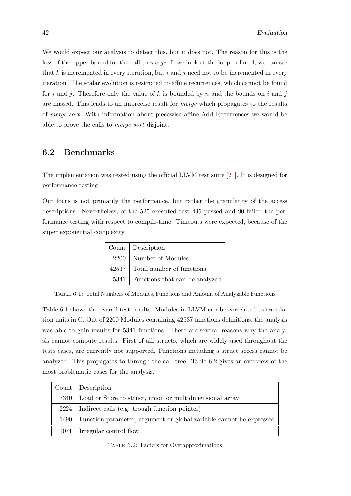We would expect our analysis to detect this, but it does not. The reason for this is the loss of the upper bound for the call to *merge*. If we look at the loop in line 4, we can see that  $k$  is incremented in every iteration, but i and j need not to be incremented in every iteration. The scalar evolution is restricted to affine recurrences, which cannot be found for i and j. Therefore only the value of k is bounded by n and the bounds on i and j are missed. This leads to an imprecise result for merge which propagates to the results of merge sort. With information about piecewise affine Add Recurrences we would be able to prove the calls to merge sort disjoint.

### <span id="page-51-0"></span>6.2 Benchmarks

The implementation was tested using the official LLVM test suite [\[21\]](#page-64-3). It is designed for performance testing.

<span id="page-51-1"></span>Our focus is not primarily the performance, but rather the granularity of the access descriptions. Nevertheless, of the 525 executed test 435 passed and 90 failed the performance testing with respect to compile-time. Timeouts were expected, because of the super exponential complexity.

| Count   Description                   |
|---------------------------------------|
| 2200   Number of Modules              |
| 42537 Total number of functions       |
| 5341   Functions that can be analyzed |

Table 6.1: Total Numbers of Modules, Functions and Amount of Analyzable Functions

Table [6.1](#page-51-1) shows the overall test results. Modules in LLVM can be correlated to translation units in C. Out of 2200 Modules containing 42537 functions definitions, the analysis was able to gain results for 5341 functions. There are several reasons why the analysis cannot compute results. First of all, structs, which are widely used throughout the tests cases, are currently not supported. Functions including a struct access cannot be analyzed. This propagates to through the call tree. Table [6.2](#page-51-2) gives an overview of the most problematic cases for the analysis.

<span id="page-51-2"></span>

|      | Count   Description                                                 |
|------|---------------------------------------------------------------------|
|      | 7340   Load or Store to struct, union or multidimensional array     |
| 2224 | Indirect calls (e.g. trough function pointer)                       |
| 1490 | Function parameter, argument or global variable cannot be expressed |
|      | $1071$ Irregular control flow                                       |

Table 6.2: Factors for Overapproximations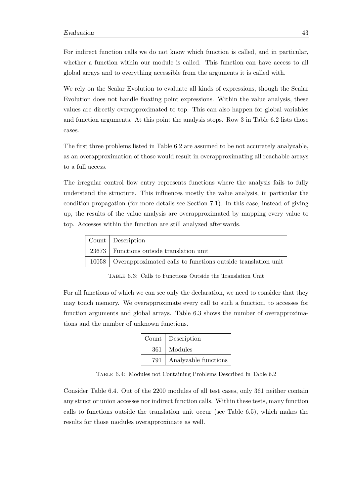For indirect function calls we do not know which function is called, and in particular, whether a function within our module is called. This function can have access to all global arrays and to everything accessible from the arguments it is called with.

We rely on the Scalar Evolution to evaluate all kinds of expressions, though the Scalar Evolution does not handle floating point expressions. Within the value analysis, these values are directly overapproximated to top. This can also happen for global variables and function arguments. At this point the analysis stops. Row 3 in Table [6.2](#page-51-2) lists those cases.

The first three problems listed in Table [6.2](#page-51-2) are assumed to be not accurately analyzable, as an overapproximation of those would result in overapproximating all reachable arrays to a full access.

The irregular control flow entry represents functions where the analysis fails to fully understand the structure. This influences mostly the value analysis, in particular the condition propagation (for more details see Section [7.1\)](#page-54-1). In this case, instead of giving up, the results of the value analysis are overapproximated by mapping every value to top. Accesses within the function are still analyzed afterwards.

<span id="page-52-0"></span>

| Count Description                                                    |
|----------------------------------------------------------------------|
| 23673   Functions outside translation unit                           |
| 10058   Overapproximated calls to functions outside translation unit |

Table 6.3: Calls to Functions Outside the Translation Unit

<span id="page-52-1"></span>For all functions of which we can see only the declaration, we need to consider that they may touch memory. We overapproximate every call to such a function, to accesses for function arguments and global arrays. Table [6.3](#page-52-0) shows the number of overapproximations and the number of unknown functions.

|     | Count   Description  |
|-----|----------------------|
| 361 | Modules              |
| 791 | Analyzable functions |

Table 6.4: Modules not Containing Problems Described in Table [6.2](#page-51-2)

Consider Table [6.4.](#page-52-1) Out of the 2200 modules of all test cases, only 361 neither contain any struct or union accesses nor indirect function calls. Within these tests, many function calls to functions outside the translation unit occur (see Table [6.5\)](#page-53-0), which makes the results for those modules overapproximate as well.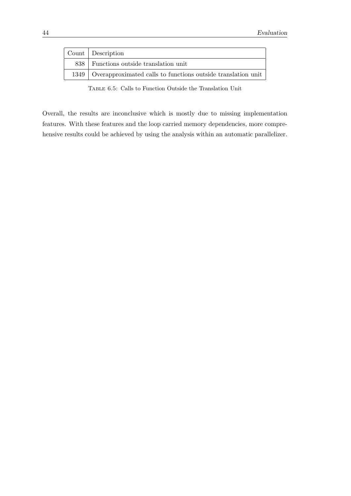<span id="page-53-0"></span>

| Count Description                                                   |
|---------------------------------------------------------------------|
| 838 Functions outside translation unit                              |
| 1349   Overapproximated calls to functions outside translation unit |

Table 6.5: Calls to Function Outside the Translation Unit

Overall, the results are inconclusive which is mostly due to missing implementation features. With these features and the loop carried memory dependencies, more comprehensive results could be achieved by using the analysis within an automatic parallelizer.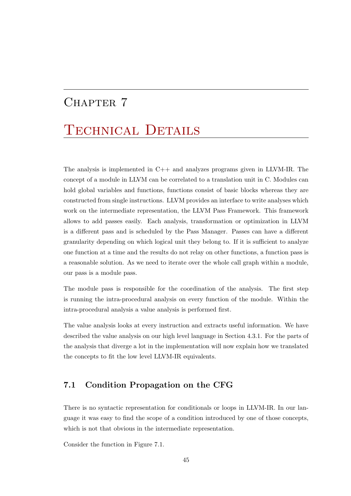## <span id="page-54-0"></span>CHAPTER 7

# TECHNICAL DETAILS

The analysis is implemented in C++ and analyzes programs given in LLVM-IR. The concept of a module in LLVM can be correlated to a translation unit in C. Modules can hold global variables and functions, functions consist of basic blocks whereas they are constructed from single instructions. LLVM provides an interface to write analyses which work on the intermediate representation, the LLVM Pass Framework. This framework allows to add passes easily. Each analysis, transformation or optimization in LLVM is a different pass and is scheduled by the Pass Manager. Passes can have a different granularity depending on which logical unit they belong to. If it is sufficient to analyze one function at a time and the results do not relay on other functions, a function pass is a reasonable solution. As we need to iterate over the whole call graph within a module, our pass is a module pass.

The module pass is responsible for the coordination of the analysis. The first step is running the intra-procedural analysis on every function of the module. Within the intra-procedural analysis a value analysis is performed first.

The value analysis looks at every instruction and extracts useful information. We have described the value analysis on our high level language in Section [4.3.1.](#page-25-1) For the parts of the analysis that diverge a lot in the implementation will now explain how we translated the concepts to fit the low level LLVM-IR equivalents.

## <span id="page-54-1"></span>7.1 Condition Propagation on the CFG

There is no syntactic representation for conditionals or loops in LLVM-IR. In our language it was easy to find the scope of a condition introduced by one of those concepts, which is not that obvious in the intermediate representation.

Consider the function in Figure [7.1.](#page-55-0)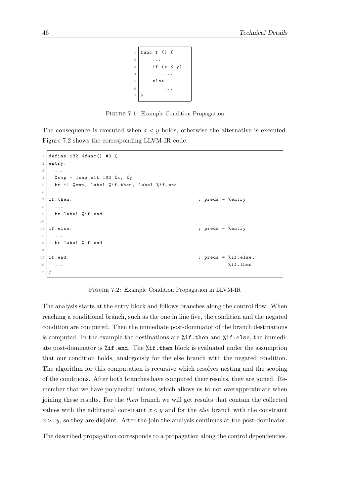```
1 func f () {
2 ...
3 if (x < y)4 ...
5 else
6 \cdots7 }
```
Figure 7.1: Example Condition Propagation

<span id="page-55-0"></span>The consequence is executed when  $x \leq y$  holds, otherwise the alternative is executed. Figure [7.2](#page-55-1) shows the corresponding LLVM-IR code.

```
1 define i32 @func() #0 {
2 entry :
3 ...
4 % \text{Komp} = i \text{cmp} slt i32 %x, %y
5 br i1 % cmp, label % if . then, label % if . end
6
7 \mid \text{if. then :} ; preds = % entry
8 ...
9 br label %if.end
10
11 | if .else: \qquad \qquad ; preds = % entry
12 ...
13 br label %if.end
14
15 if .end: \begin{array}{ccc} 15 & \text{if.} \text{ends} = \sqrt[6]{11} \text{.} \end{array}\frac{16}{16} ... \frac{16}{16} ... \frac{16}{16} ...
17 \, | \, }
```
Figure 7.2: Example Condition Propagation in LLVM-IR

The analysis starts at the entry block and follows branches along the control flow. When reaching a conditional branch, such as the one in line five, the condition and the negated condition are computed. Then the immediate post-dominator of the branch destinations is computed. In the example the destinations are  $\lambda$ **if.then** and  $\lambda$ **if.else**, the immediate post-dominator is  $\chi$ **if.end.** The  $\chi$ **if.then** block is evaluated under the assumption that our condition holds, analogously for the else branch with the negated condition. The algorithm for this computation is recursive which resolves nesting and the scoping of the conditions. After both branches have computed their results, they are joined. Remember that we have polyhedral unions, which allows us to not overapproximate when joining these results. For the then branch we will get results that contain the collected values with the additional constraint  $x \leq y$  and for the *else* branch with the constraint  $x \geq y$ , so they are disjoint. After the join the analysis continues at the post-dominator.

The described propagation corresponds to a propagation along the control dependencies.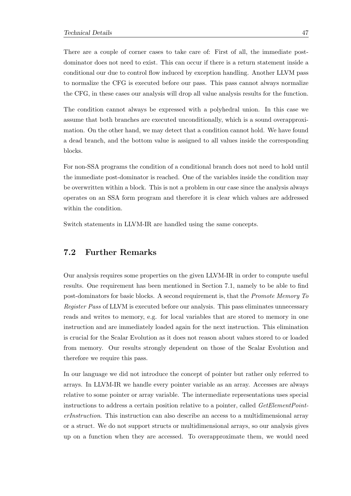There are a couple of corner cases to take care of: First of all, the immediate postdominator does not need to exist. This can occur if there is a return statement inside a conditional our due to control flow induced by exception handling. Another LLVM pass to normalize the CFG is executed before our pass. This pass cannot always normalize the CFG, in these cases our analysis will drop all value analysis results for the function.

The condition cannot always be expressed with a polyhedral union. In this case we assume that both branches are executed unconditionally, which is a sound overapproximation. On the other hand, we may detect that a condition cannot hold. We have found a dead branch, and the bottom value is assigned to all values inside the corresponding blocks.

For non-SSA programs the condition of a conditional branch does not need to hold until the immediate post-dominator is reached. One of the variables inside the condition may be overwritten within a block. This is not a problem in our case since the analysis always operates on an SSA form program and therefore it is clear which values are addressed within the condition.

Switch statements in LLVM-IR are handled using the same concepts.

### <span id="page-56-0"></span>7.2 Further Remarks

Our analysis requires some properties on the given LLVM-IR in order to compute useful results. One requirement has been mentioned in Section [7.1,](#page-54-1) namely to be able to find post-dominators for basic blocks. A second requirement is, that the Promote Memory To Register Pass of LLVM is executed before our analysis. This pass eliminates unnecessary reads and writes to memory, e.g. for local variables that are stored to memory in one instruction and are immediately loaded again for the next instruction. This elimination is crucial for the Scalar Evolution as it does not reason about values stored to or loaded from memory. Our results strongly dependent on those of the Scalar Evolution and therefore we require this pass.

In our language we did not introduce the concept of pointer but rather only referred to arrays. In LLVM-IR we handle every pointer variable as an array. Accesses are always relative to some pointer or array variable. The intermediate representations uses special instructions to address a certain position relative to a pointer, called GetElementPointerInstruction. This instruction can also describe an access to a multidimensional array or a struct. We do not support structs or multidimensional arrays, so our analysis gives up on a function when they are accessed. To overapproximate them, we would need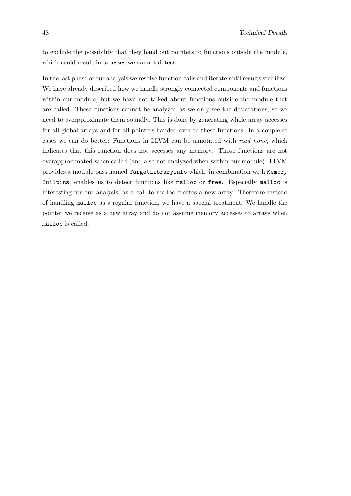to exclude the possibility that they hand out pointers to functions outside the module, which could result in accesses we cannot detect.

In the last phase of our analysis we resolve function calls and iterate until results stabilize. We have already described how we handle strongly connected components and functions within our module, but we have not talked about functions outside the module that are called. These functions cannot be analyzed as we only see the declarations, so we need to overpproximate them soundly. This is done by generating whole array accesses for all global arrays and for all pointers handed over to these functions. In a couple of cases we can do better: Functions in LLVM can be annotated with read none, which indicates that this function does not accesses any memory. Those functions are not overapproximated when called (and also not analyzed when within our module). LLVM provides a module pass named TargetLibraryInfo which, in combination with Memory Builtins, enables us to detect functions like malloc or free. Especially malloc is interesting for our analysis, as a call to malloc creates a new array. Therefore instead of handling malloc as a regular function, we have a special treatment: We handle the pointer we receive as a new array and do not assume memory accesses to arrays when malloc is called.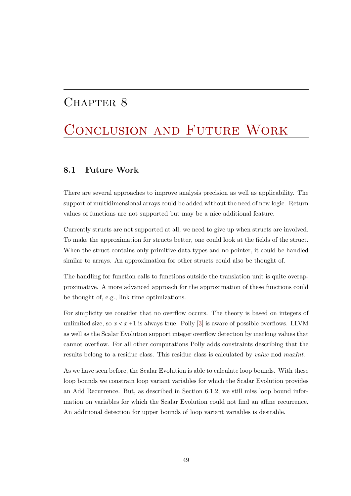## <span id="page-58-0"></span>CHAPTER 8

# CONCLUSION AND FUTURE WORK

### <span id="page-58-1"></span>8.1 Future Work

There are several approaches to improve analysis precision as well as applicability. The support of multidimensional arrays could be added without the need of new logic. Return values of functions are not supported but may be a nice additional feature.

Currently structs are not supported at all, we need to give up when structs are involved. To make the approximation for structs better, one could look at the fields of the struct. When the struct contains only primitive data types and no pointer, it could be handled similar to arrays. An approximation for other structs could also be thought of.

The handling for function calls to functions outside the translation unit is quite overapproximative. A more advanced approach for the approximation of these functions could be thought of, e.g., link time optimizations.

For simplicity we consider that no overflow occurs. The theory is based on integers of unlimited size, so  $x < x + 1$  is always true. Polly [\[3\]](#page-62-3) is aware of possible overflows. LLVM as well as the Scalar Evolution support integer overflow detection by marking values that cannot overflow. For all other computations Polly adds constraints describing that the results belong to a residue class. This residue class is calculated by *value* mod *maxInt*.

As we have seen before, the Scalar Evolution is able to calculate loop bounds. With these loop bounds we constrain loop variant variables for which the Scalar Evolution provides an Add Recurrence. But, as described in Section [6.1.2,](#page-50-0) we still miss loop bound information on variables for which the Scalar Evolution could not find an affine recurrence. An additional detection for upper bounds of loop variant variables is desirable.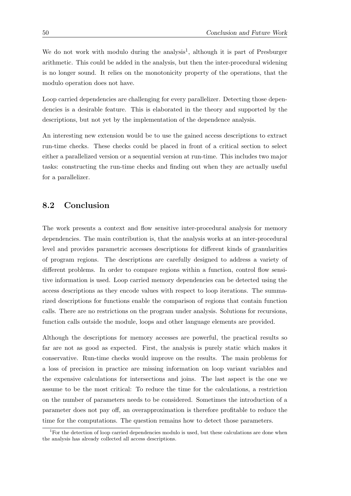We do not work with modulo during the analysis<sup>[1](#page-59-1)</sup>, although it is part of Presburger arithmetic. This could be added in the analysis, but then the inter-procedural widening is no longer sound. It relies on the monotonicity property of the operations, that the modulo operation does not have.

Loop carried dependencies are challenging for every parallelizer. Detecting those dependencies is a desirable feature. This is elaborated in the theory and supported by the descriptions, but not yet by the implementation of the dependence analysis.

An interesting new extension would be to use the gained access descriptions to extract run-time checks. These checks could be placed in front of a critical section to select either a parallelized version or a sequential version at run-time. This includes two major tasks: constructing the run-time checks and finding out when they are actually useful for a parallelizer.

## <span id="page-59-0"></span>8.2 Conclusion

The work presents a context and flow sensitive inter-procedural analysis for memory dependencies. The main contribution is, that the analysis works at an inter-procedural level and provides parametric accesses descriptions for different kinds of granularities of program regions. The descriptions are carefully designed to address a variety of different problems. In order to compare regions within a function, control flow sensitive information is used. Loop carried memory dependencies can be detected using the access descriptions as they encode values with respect to loop iterations. The summarized descriptions for functions enable the comparison of regions that contain function calls. There are no restrictions on the program under analysis. Solutions for recursions, function calls outside the module, loops and other language elements are provided.

Although the descriptions for memory accesses are powerful, the practical results so far are not as good as expected. First, the analysis is purely static which makes it conservative. Run-time checks would improve on the results. The main problems for a loss of precision in practice are missing information on loop variant variables and the expensive calculations for intersections and joins. The last aspect is the one we assume to be the most critical: To reduce the time for the calculations, a restriction on the number of parameters needs to be considered. Sometimes the introduction of a parameter does not pay off, an overapproximation is therefore profitable to reduce the time for the computations. The question remains how to detect those parameters.

<span id="page-59-1"></span><sup>&</sup>lt;sup>1</sup>For the detection of loop carried dependencies modulo is used, but these calculations are done when the analysis has already collected all access descriptions.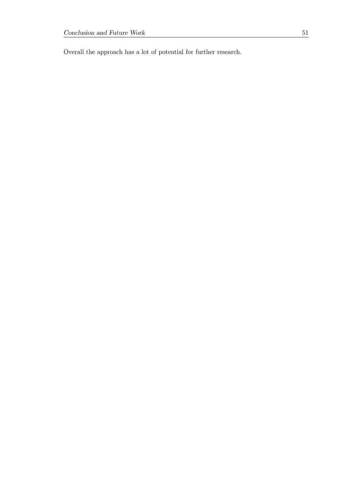Overall the approach has a lot of potential for further research.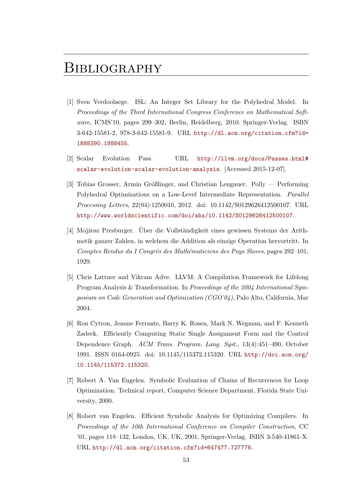## <span id="page-62-0"></span>**BIBLIOGRAPHY**

- <span id="page-62-1"></span>[1] Sven Verdoolaege. ISL: An Integer Set Library for the Polyhedral Model. In Proceedings of the Third International Congress Conference on Mathematical Software, ICMS'10, pages 299–302, Berlin, Heidelberg, 2010. Springer-Verlag. ISBN 3-642-15581-2, 978-3-642-15581-9. URL [http://dl.acm.org/citation.cfm?id=](http://dl.acm.org/citation.cfm?id=1888390.1888455) [1888390.1888455](http://dl.acm.org/citation.cfm?id=1888390.1888455).
- <span id="page-62-2"></span>[2] Scalar Evolution Pass. URL [http://llvm.org/docs/Passes.html#](http://llvm.org/docs/Passes.html#scalar-evolution-scalar-evolution-analysis) [scalar-evolution-scalar-evolution-analysis](http://llvm.org/docs/Passes.html#scalar-evolution-scalar-evolution-analysis). [Accessed 2015-12-07].
- <span id="page-62-3"></span>[3] Tobias Grosser, Armin Größlinger, and Christian Lengauer. Polly — Performing Polyhedral Optimizations on a Low-Level Intermediate Representation. Parallel Processing Letters, 22(04):1250010, 2012. doi: 10.1142/S0129626412500107. URL <http://www.worldscientific.com/doi/abs/10.1142/S0129626412500107>.
- <span id="page-62-4"></span>[4] Mojżesz Presburger. Über die Vollständigkeit eines gewissen Systems der Arithmetik ganzer Zahlen, in welchem die Addition als einzige Operation hervortritt. In Comptes Rendus du I Congrés des Mathématiciens des Pays Slaves, pages 292–101, 1929.
- <span id="page-62-5"></span>[5] Chris Lattner and Vikram Adve. LLVM: A Compilation Framework for Lifelong Program Analysis & Transformation. In Proceedings of the 2004 International Symposium on Code Generation and Optimization (CGO'04), Palo Alto, California, Mar 2004.
- <span id="page-62-6"></span>[6] Ron Cytron, Jeanne Ferrante, Barry K. Rosen, Mark N. Wegman, and F. Kenneth Zadeck. Efficiently Computing Static Single Assignment Form and the Control Dependence Graph. ACM Trans. Program. Lang. Syst., 13(4):451–490, October 1991. ISSN 0164-0925. doi: 10.1145/115372.115320. URL [http://doi.acm.org/](http://doi.acm.org/10.1145/115372.115320) [10.1145/115372.115320](http://doi.acm.org/10.1145/115372.115320).
- <span id="page-62-7"></span>[7] Robert A. Van Engelen. Symbolic Evaluation of Chains of Recurrences for Loop Optimization. Technical report, Computer Science Department, Florida State University, 2000.
- <span id="page-62-8"></span>[8] Robert van Engelen. Efficient Symbolic Analysis for Optimizing Compilers. In Proceedings of the 10th International Conference on Compiler Construction, CC '01, pages 118–132, London, UK, UK, 2001. Springer-Verlag. ISBN 3-540-41861-X. URL <http://dl.acm.org/citation.cfm?id=647477.727776>.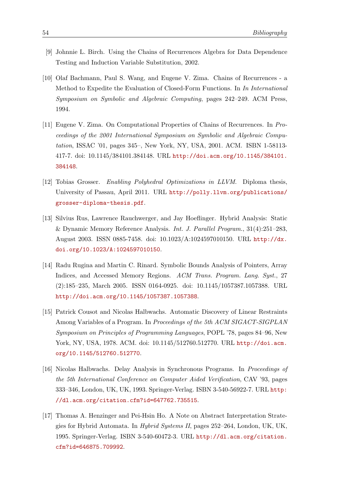- <span id="page-63-0"></span>[9] Johnnie L. Birch. Using the Chains of Recurrences Algebra for Data Dependence Testing and Induction Variable Substitution, 2002.
- [10] Olaf Bachmann, Paul S. Wang, and Eugene V. Zima. Chains of Recurrences a Method to Expedite the Evaluation of Closed-Form Functions. In In International Symposium on Symbolic and Algebraic Computing, pages 242–249. ACM Press, 1994.
- <span id="page-63-1"></span>[11] Eugene V. Zima. On Computational Properties of Chains of Recurrences. In Proceedings of the 2001 International Symposium on Symbolic and Algebraic Computation, ISSAC '01, pages 345–, New York, NY, USA, 2001. ACM. ISBN 1-58113- 417-7. doi: 10.1145/384101.384148. URL [http://doi.acm.org/10.1145/384101.](http://doi.acm.org/10.1145/384101.384148) [384148](http://doi.acm.org/10.1145/384101.384148).
- <span id="page-63-2"></span>[12] Tobias Grosser. Enabling Polyhedral Optimizations in LLVM. Diploma thesis, University of Passau, April 2011. URL [http://polly.llvm.org/publications/](http://polly.llvm.org/publications/grosser-diploma-thesis.pdf) [grosser-diploma-thesis.pdf](http://polly.llvm.org/publications/grosser-diploma-thesis.pdf).
- <span id="page-63-3"></span>[13] Silvius Rus, Lawrence Rauchwerger, and Jay Hoeflinger. Hybrid Analysis: Static & Dynamic Memory Reference Analysis. Int. J. Parallel Program., 31(4):251–283, August 2003. ISSN 0885-7458. doi: 10.1023/A:1024597010150. URL [http://dx.](http://dx.doi.org/10.1023/A:1024597010150) [doi.org/10.1023/A:1024597010150](http://dx.doi.org/10.1023/A:1024597010150).
- <span id="page-63-4"></span>[14] Radu Rugina and Martin C. Rinard. Symbolic Bounds Analysis of Pointers, Array Indices, and Accessed Memory Regions. ACM Trans. Program. Lang. Syst., 27 (2):185–235, March 2005. ISSN 0164-0925. doi: 10.1145/1057387.1057388. URL <http://doi.acm.org/10.1145/1057387.1057388>.
- <span id="page-63-5"></span>[15] Patrick Cousot and Nicolas Halbwachs. Automatic Discovery of Linear Restraints Among Variables of a Program. In Proceedings of the 5th ACM SIGACT-SIGPLAN Symposium on Principles of Programming Languages, POPL '78, pages 84–96, New York, NY, USA, 1978. ACM. doi: 10.1145/512760.512770. URL [http://doi.acm.](http://doi.acm.org/10.1145/512760.512770) [org/10.1145/512760.512770](http://doi.acm.org/10.1145/512760.512770).
- <span id="page-63-6"></span>[16] Nicolas Halbwachs. Delay Analysis in Synchronous Programs. In Proceedings of the 5th International Conference on Computer Aided Verification, CAV '93, pages 333–346, London, UK, UK, 1993. Springer-Verlag. ISBN 3-540-56922-7. URL [http:](http://dl.acm.org/citation.cfm?id=647762.735515) [//dl.acm.org/citation.cfm?id=647762.735515](http://dl.acm.org/citation.cfm?id=647762.735515).
- <span id="page-63-7"></span>[17] Thomas A. Henzinger and Pei-Hsin Ho. A Note on Abstract Interpretation Strategies for Hybrid Automata. In Hybrid Systems II, pages 252–264, London, UK, UK, 1995. Springer-Verlag. ISBN 3-540-60472-3. URL [http://dl.acm.org/citation.](http://dl.acm.org/citation.cfm?id=646875.709992) [cfm?id=646875.709992](http://dl.acm.org/citation.cfm?id=646875.709992).